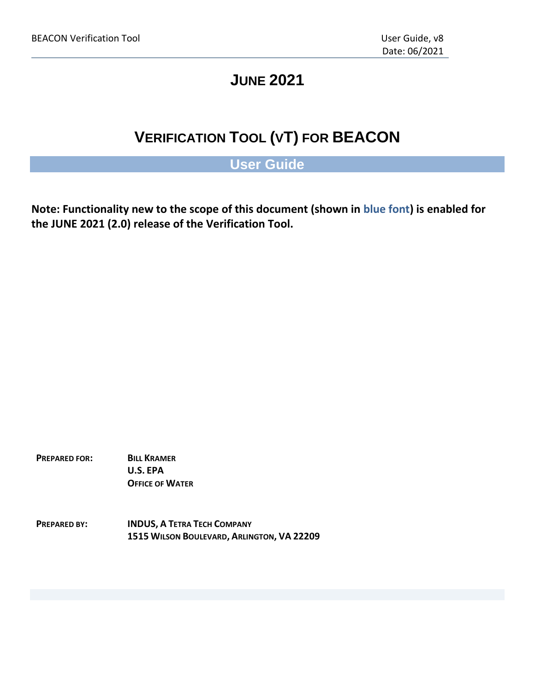# **JUNE 2021**

# **VERIFICATION TOOL (VT) FOR BEACON**

# **User Guide**

**Note: Functionality new to the scope of this document (shown in blue font) is enabled for the JUNE 2021 (2.0) release of the Verification Tool.**

**PREPARED FOR: BILL KRAMER U.S. EPA OFFICE OF WATER**

**PREPARED BY: INDUS, A TETRA TECH COMPANY 1515 WILSON BOULEVARD, ARLINGTON, VA 22209**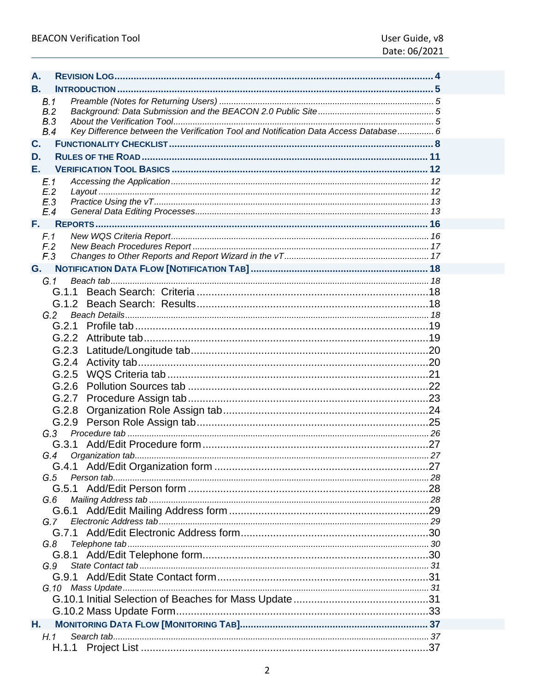| A. |                                 |                                                                                      |  |
|----|---------------------------------|--------------------------------------------------------------------------------------|--|
| В. |                                 |                                                                                      |  |
|    | B.1<br>B.2<br><b>B.3</b><br>B.4 | Key Difference between the Verification Tool and Notification Data Access Database 6 |  |
| C. |                                 |                                                                                      |  |
| D. |                                 |                                                                                      |  |
| Е. |                                 |                                                                                      |  |
|    | E.1                             |                                                                                      |  |
|    | E.2<br>E.3<br>E.4               |                                                                                      |  |
| F. |                                 |                                                                                      |  |
|    | F.1<br>F <sub>2</sub><br>F.3    |                                                                                      |  |
| G. |                                 |                                                                                      |  |
|    | G.1                             |                                                                                      |  |
|    |                                 |                                                                                      |  |
|    |                                 |                                                                                      |  |
|    | G.2                             |                                                                                      |  |
|    |                                 |                                                                                      |  |
|    |                                 |                                                                                      |  |
|    |                                 |                                                                                      |  |
|    |                                 |                                                                                      |  |
|    |                                 |                                                                                      |  |
|    |                                 |                                                                                      |  |
|    |                                 | G.2.7                                                                                |  |
|    |                                 |                                                                                      |  |
|    |                                 | G.2.8                                                                                |  |
|    |                                 |                                                                                      |  |
|    | G.3                             |                                                                                      |  |
|    |                                 |                                                                                      |  |
|    |                                 |                                                                                      |  |
|    | G.5                             |                                                                                      |  |
|    |                                 |                                                                                      |  |
|    | G.6                             |                                                                                      |  |
|    |                                 |                                                                                      |  |
|    | G.7                             |                                                                                      |  |
|    |                                 |                                                                                      |  |
|    | G.8                             |                                                                                      |  |
|    |                                 |                                                                                      |  |
|    | G.9                             |                                                                                      |  |
|    |                                 |                                                                                      |  |
|    |                                 |                                                                                      |  |
|    |                                 |                                                                                      |  |
|    |                                 |                                                                                      |  |
| Н. |                                 |                                                                                      |  |
|    | H.1                             |                                                                                      |  |
|    |                                 |                                                                                      |  |
|    |                                 |                                                                                      |  |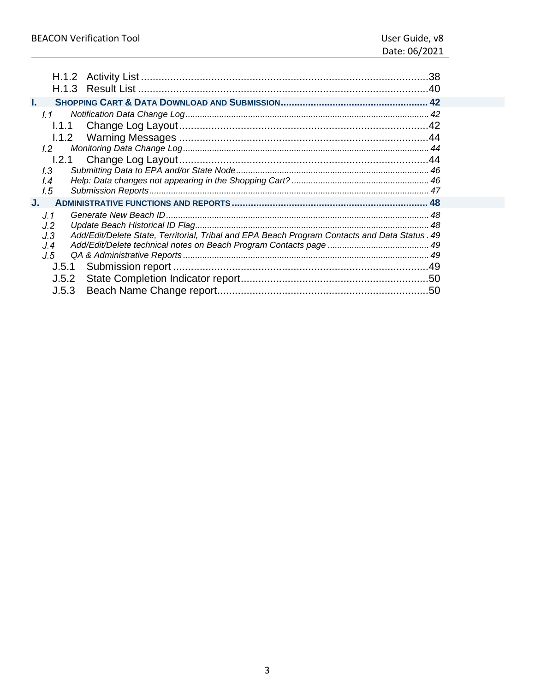| H.1.2<br>H.1.3                                                                                        | .38 |
|-------------------------------------------------------------------------------------------------------|-----|
| I.                                                                                                    |     |
| 1.1                                                                                                   |     |
| 1.1.1                                                                                                 |     |
|                                                                                                       |     |
| 1.2                                                                                                   |     |
| 1.2.1                                                                                                 |     |
| 1.3                                                                                                   |     |
| $\overline{14}$                                                                                       |     |
| 1.5                                                                                                   |     |
| J.                                                                                                    |     |
| J.1                                                                                                   |     |
| J.2                                                                                                   |     |
| Add/Edit/Delete State, Territorial, Tribal and EPA Beach Program Contacts and Data Status . 49<br>J.3 |     |
| J 4                                                                                                   |     |
| J.5                                                                                                   |     |
| J.5.1                                                                                                 |     |
| J.5.2                                                                                                 |     |
| J.5.3                                                                                                 |     |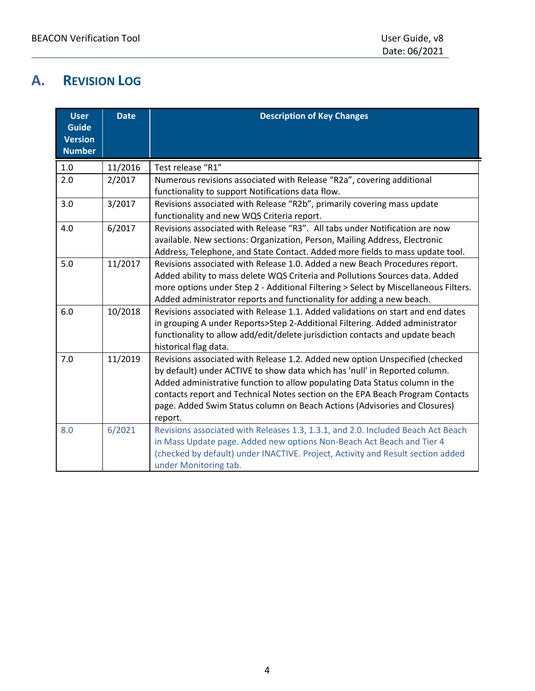# <span id="page-3-0"></span>**A. REVISION LOG**

| <b>User</b><br><b>Guide</b><br><b>Version</b> | <b>Date</b> | <b>Description of Key Changes</b>                                                                                                                                                                                                                                                                                                                                                                                  |
|-----------------------------------------------|-------------|--------------------------------------------------------------------------------------------------------------------------------------------------------------------------------------------------------------------------------------------------------------------------------------------------------------------------------------------------------------------------------------------------------------------|
| <b>Number</b>                                 |             |                                                                                                                                                                                                                                                                                                                                                                                                                    |
| 1.0                                           | 11/2016     | Test release "R1"                                                                                                                                                                                                                                                                                                                                                                                                  |
| 2.0                                           | 2/2017      | Numerous revisions associated with Release "R2a", covering additional<br>functionality to support Notifications data flow.                                                                                                                                                                                                                                                                                         |
| 3.0                                           | 3/2017      | Revisions associated with Release "R2b", primarily covering mass update<br>functionality and new WQS Criteria report.                                                                                                                                                                                                                                                                                              |
| 4.0                                           | 6/2017      | Revisions associated with Release "R3". All tabs under Notification are now<br>available. New sections: Organization, Person, Mailing Address, Electronic<br>Address, Telephone, and State Contact. Added more fields to mass update tool.                                                                                                                                                                         |
| 5.0                                           | 11/2017     | Revisions associated with Release 1.0. Added a new Beach Procedures report.<br>Added ability to mass delete WQS Criteria and Pollutions Sources data. Added<br>more options under Step 2 - Additional Filtering > Select by Miscellaneous Filters.<br>Added administrator reports and functionality for adding a new beach.                                                                                        |
| 6.0                                           | 10/2018     | Revisions associated with Release 1.1. Added validations on start and end dates<br>in grouping A under Reports>Step 2-Additional Filtering. Added administrator<br>functionality to allow add/edit/delete jurisdiction contacts and update beach<br>historical flag data.                                                                                                                                          |
| 7.0                                           | 11/2019     | Revisions associated with Release 1.2. Added new option Unspecified (checked<br>by default) under ACTIVE to show data which has 'null' in Reported column.<br>Added administrative function to allow populating Data Status column in the<br>contacts report and Technical Notes section on the EPA Beach Program Contacts<br>page. Added Swim Status column on Beach Actions (Advisories and Closures)<br>report. |
| 8.0                                           | 6/2021      | Revisions associated with Releases 1.3, 1.3.1, and 2.0. Included Beach Act Beach<br>in Mass Update page. Added new options Non-Beach Act Beach and Tier 4<br>(checked by default) under INACTIVE. Project, Activity and Result section added<br>under Monitoring tab.                                                                                                                                              |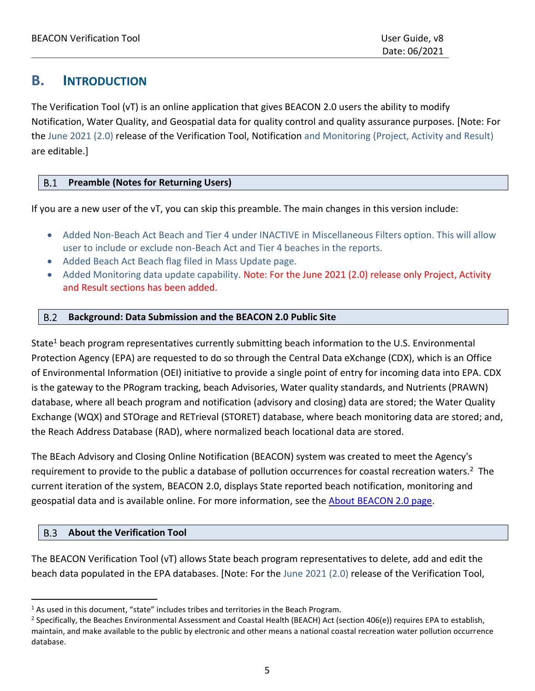# <span id="page-4-0"></span>**B. INTRODUCTION**

The Verification Tool (vT) is an online application that gives BEACON 2.0 users the ability to modify Notification, Water Quality, and Geospatial data for quality control and quality assurance purposes. [Note: For the June 2021 (2.0) release of the Verification Tool, Notification and Monitoring (Project, Activity and Result) are editable.]

#### <span id="page-4-1"></span> $B.1$ **Preamble (Notes for Returning Users)**

If you are a new user of the vT, you can skip this preamble. The main changes in this version include:

- Added Non-Beach Act Beach and Tier 4 under INACTIVE in Miscellaneous Filters option. This will allow user to include or exclude non-Beach Act and Tier 4 beaches in the reports.
- Added Beach Act Beach flag filed in Mass Update page.
- Added Monitoring data update capability. Note: For the June 2021 (2.0) release only Project, Activity and Result sections has been added.

#### <span id="page-4-2"></span>**Background: Data Submission and the BEACON 2.0 Public Site**  $B.2$

State<sup>1</sup> beach program representatives currently submitting beach information to the U.S. Environmental Protection Agency (EPA) are requested to do so through the Central Data eXchange (CDX), which is an Office of Environmental Information (OEI) initiative to provide a single point of entry for incoming data into EPA. CDX is the gateway to the PRogram tracking, beach Advisories, Water quality standards, and Nutrients (PRAWN) database, where all beach program and notification (advisory and closing) data are stored; the Water Quality Exchange (WQX) and STOrage and RETrieval (STORET) database, where beach monitoring data are stored; and, the Reach Address Database (RAD), where normalized beach locational data are stored.

The BEach Advisory and Closing Online Notification (BEACON) system was created to meet the Agency's requirement to provide to the public a database of pollution occurrences for coastal recreation waters.<sup>2</sup> The current iteration of the system, BEACON 2.0, displays State reported beach notification, monitoring and geospatial data and is available online. For more information, see the [About BEACON 2.0 page.](https://watersgeo.epa.gov/BEACON2/about.html)

#### <span id="page-4-3"></span> $B.3$ **About the Verification Tool**

The BEACON Verification Tool (vT) allows State beach program representatives to delete, add and edit the beach data populated in the EPA databases. [Note: For the June 2021 (2.0) release of the Verification Tool,

 $1$  As used in this document, "state" includes tribes and territories in the Beach Program.

<sup>&</sup>lt;sup>2</sup> Specifically, the Beaches Environmental Assessment and Coastal Health (BEACH) Act (section 406(e)) requires EPA to establish, maintain, and make available to the public by electronic and other means a national coastal recreation water pollution occurrence database.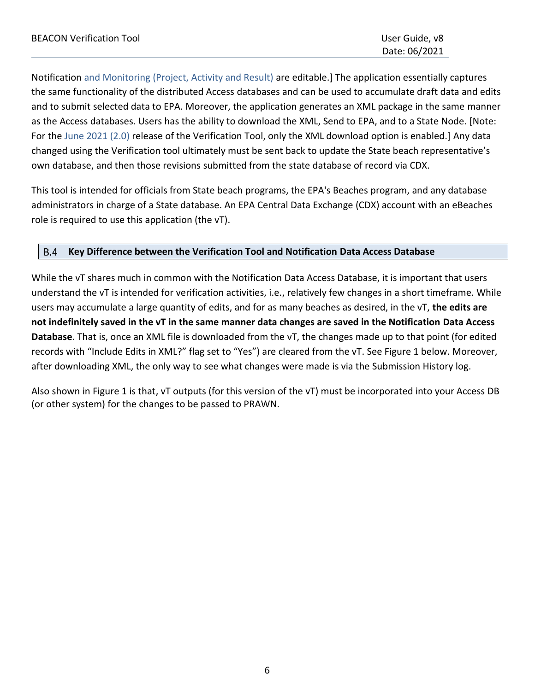Notification and Monitoring (Project, Activity and Result) are editable.] The application essentially captures the same functionality of the distributed Access databases and can be used to accumulate draft data and edits and to submit selected data to EPA. Moreover, the application generates an XML package in the same manner as the Access databases. Users has the ability to download the XML, Send to EPA, and to a State Node. [Note: For the June 2021 (2.0) release of the Verification Tool, only the XML download option is enabled.] Any data changed using the Verification tool ultimately must be sent back to update the State beach representative's own database, and then those revisions submitted from the state database of record via CDX.

This tool is intended for officials from State beach programs, the EPA's Beaches program, and any database administrators in charge of a State database. An EPA Central Data Exchange (CDX) account with an eBeaches role is required to use this application (the vT).

#### <span id="page-5-0"></span>**B.4 Key Difference between the Verification Tool and Notification Data Access Database**

While the vT shares much in common with the Notification Data Access Database, it is important that users understand the vT is intended for verification activities, i.e., relatively few changes in a short timeframe. While users may accumulate a large quantity of edits, and for as many beaches as desired, in the vT, **the edits are not indefinitely saved in the vT in the same manner data changes are saved in the Notification Data Access Database**. That is, once an XML file is downloaded from the vT, the changes made up to that point (for edited records with "Include Edits in XML?" flag set to "Yes") are cleared from the vT. See Figure 1 below. Moreover, after downloading XML, the only way to see what changes were made is via the Submission History log.

Also shown in Figure 1 is that, vT outputs (for this version of the vT) must be incorporated into your Access DB (or other system) for the changes to be passed to PRAWN.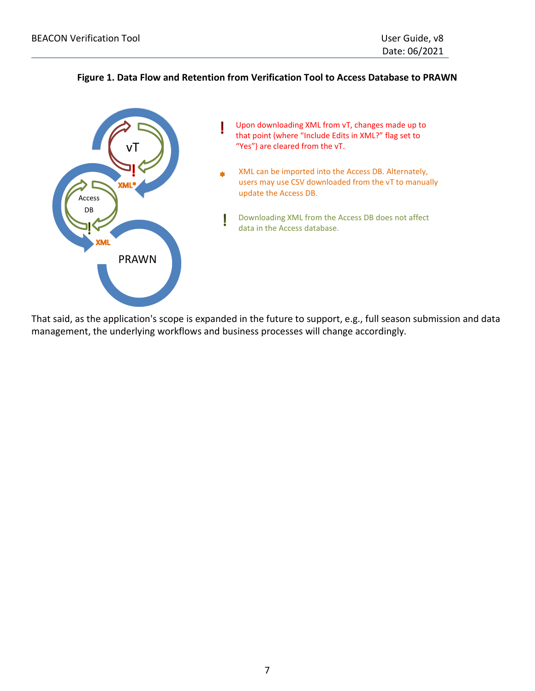### **Figure 1. Data Flow and Retention from Verification Tool to Access Database to PRAWN**



That said, as the application's scope is expanded in the future to support, e.g., full season submission and data management, the underlying workflows and business processes will change accordingly.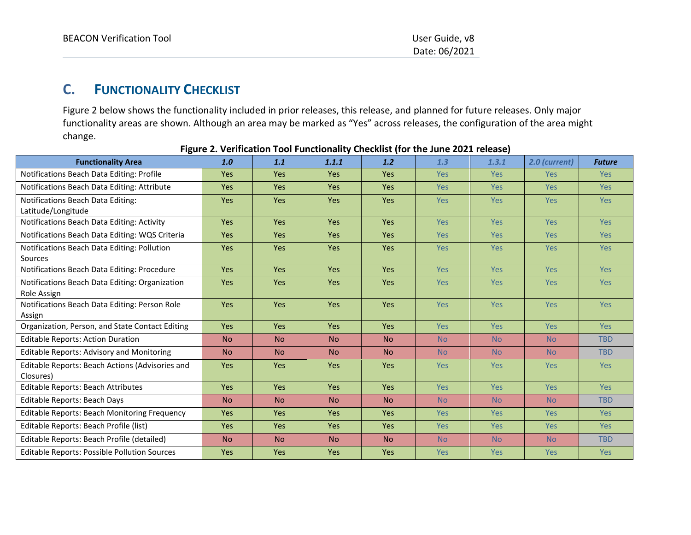Date: 06/2021

# **C. FUNCTIONALITY CHECKLIST**

Figure 2 below shows the functionality included in prior releases, this release, and planned for future releases. Only major functionality areas are shown. Although an area may be marked as "Yes" across releases, the configuration of the area might change.

<span id="page-7-0"></span>

| <b>Functionality Area</b>                                     | 1.0        | 1.1        | 1.1.1      | 1.2        | 1.3        | 1, 3, 1    | 2.0 (current) | <b>Future</b> |
|---------------------------------------------------------------|------------|------------|------------|------------|------------|------------|---------------|---------------|
| Notifications Beach Data Editing: Profile                     | Yes        | Yes        | <b>Yes</b> | Yes        | <b>Yes</b> | <b>Yes</b> | <b>Yes</b>    | <b>Yes</b>    |
| Notifications Beach Data Editing: Attribute                   | <b>Yes</b> | <b>Yes</b> | <b>Yes</b> | <b>Yes</b> | <b>Yes</b> | <b>Yes</b> | <b>Yes</b>    | <b>Yes</b>    |
| Notifications Beach Data Editing:<br>Latitude/Longitude       | Yes        | Yes        | Yes        | Yes        | <b>Yes</b> | <b>Yes</b> | <b>Yes</b>    | <b>Yes</b>    |
| Notifications Beach Data Editing: Activity                    | <b>Yes</b> | <b>Yes</b> | <b>Yes</b> | Yes        | <b>Yes</b> | <b>Yes</b> | <b>Yes</b>    | <b>Yes</b>    |
| Notifications Beach Data Editing: WQS Criteria                | Yes        | <b>Yes</b> | Yes        | <b>Yes</b> | <b>Yes</b> | <b>Yes</b> | <b>Yes</b>    | <b>Yes</b>    |
| Notifications Beach Data Editing: Pollution<br>Sources        | Yes        | Yes        | Yes        | Yes        | <b>Yes</b> | <b>Yes</b> | <b>Yes</b>    | Yes           |
| Notifications Beach Data Editing: Procedure                   | Yes        | <b>Yes</b> | Yes        | <b>Yes</b> | <b>Yes</b> | <b>Yes</b> | <b>Yes</b>    | <b>Yes</b>    |
| Notifications Beach Data Editing: Organization<br>Role Assign | Yes        | Yes        | Yes        | Yes        | <b>Yes</b> | <b>Yes</b> | <b>Yes</b>    | <b>Yes</b>    |
| Notifications Beach Data Editing: Person Role<br>Assign       | Yes        | Yes        | Yes        | Yes        | Yes        | <b>Yes</b> | <b>Yes</b>    | <b>Yes</b>    |
| Organization, Person, and State Contact Editing               | Yes        | <b>Yes</b> | Yes        | <b>Yes</b> | <b>Yes</b> | <b>Yes</b> | <b>Yes</b>    | <b>Yes</b>    |
| <b>Editable Reports: Action Duration</b>                      | <b>No</b>  | <b>No</b>  | <b>No</b>  | <b>No</b>  | <b>No</b>  | <b>No</b>  | <b>No</b>     | <b>TBD</b>    |
| <b>Editable Reports: Advisory and Monitoring</b>              | <b>No</b>  | <b>No</b>  | <b>No</b>  | <b>No</b>  | <b>No</b>  | <b>No</b>  | <b>No</b>     | <b>TBD</b>    |
| Editable Reports: Beach Actions (Advisories and<br>Closures)  | Yes        | <b>Yes</b> | <b>Yes</b> | <b>Yes</b> | <b>Yes</b> | <b>Yes</b> | Yes:          | <b>Yes</b>    |
| Editable Reports: Beach Attributes                            | Yes        | Yes        | Yes        | Yes        | <b>Yes</b> | <b>Yes</b> | <b>Yes</b>    | Yes           |
| Editable Reports: Beach Days                                  | <b>No</b>  | <b>No</b>  | <b>No</b>  | <b>No</b>  | <b>No</b>  | <b>No</b>  | <b>No</b>     | <b>TBD</b>    |
| <b>Editable Reports: Beach Monitoring Frequency</b>           | Yes        | Yes        | Yes        | Yes        | <b>Yes</b> | <b>Yes</b> | <b>Yes</b>    | <b>Yes</b>    |
| Editable Reports: Beach Profile (list)                        | Yes        | Yes        | Yes        | Yes        | <b>Yes</b> | <b>Yes</b> | <b>Yes</b>    | <b>Yes</b>    |
| Editable Reports: Beach Profile (detailed)                    | <b>No</b>  | <b>No</b>  | <b>No</b>  | <b>No</b>  | <b>No</b>  | <b>No</b>  | <b>No</b>     | <b>TBD</b>    |
| <b>Editable Reports: Possible Pollution Sources</b>           | Yes        | Yes        | Yes        | Yes        | Yes        | <b>Yes</b> | <b>Yes</b>    | <b>Yes</b>    |

**Figure 2. Verification Tool Functionality Checklist (for the June 2021 release)**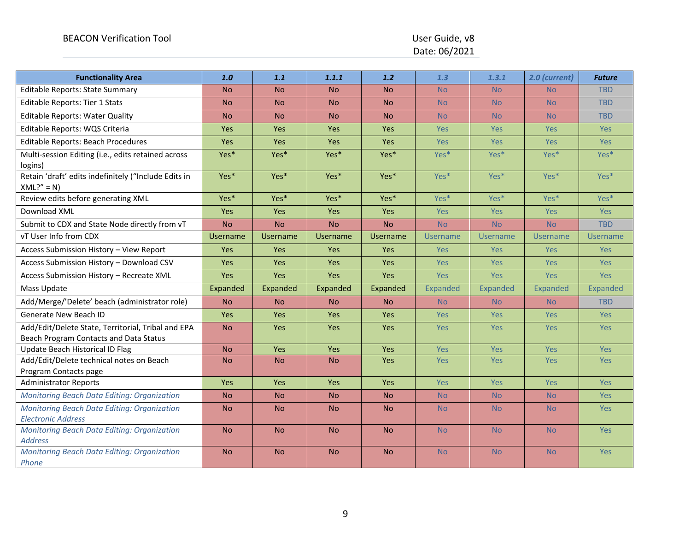Date: 06/2021

| <b>Functionality Area</b>                                                                    | 1.0             | 1.1             | 1.1.1           | 1.2             | 1.3              | 1.3.1           | 2.0 (current)    | <b>Future</b>   |
|----------------------------------------------------------------------------------------------|-----------------|-----------------|-----------------|-----------------|------------------|-----------------|------------------|-----------------|
| <b>Editable Reports: State Summary</b>                                                       | <b>No</b>       | <b>No</b>       | <b>No</b>       | <b>No</b>       | <b>No</b>        | <b>No</b>       | <b>No</b>        | <b>TBD</b>      |
| <b>Editable Reports: Tier 1 Stats</b>                                                        | <b>No</b>       | <b>No</b>       | N <sub>o</sub>  | <b>No</b>       | <b>No</b>        | <b>No</b>       | <b>No</b>        | <b>TBD</b>      |
| <b>Editable Reports: Water Quality</b>                                                       | <b>No</b>       | <b>No</b>       | <b>No</b>       | <b>No</b>       | <b>No</b>        | <b>No</b>       | <b>No</b>        | <b>TBD</b>      |
| Editable Reports: WQS Criteria                                                               | <b>Yes</b>      | <b>Yes</b>      | <b>Yes</b>      | <b>Yes</b>      | <b>Yes</b>       | <b>Yes</b>      | Yes              | Yes             |
| Editable Reports: Beach Procedures                                                           | Yes             | Yes             | Yes             | Yes             | Yes              | Yes             | Yes              | Yes             |
| Multi-session Editing (i.e., edits retained across<br>logins)                                | Yes*            | Yes*            | Yes*            | Yes*            | Yes <sup>*</sup> | Yes*            | Yes <sup>*</sup> | Yes*            |
| Retain 'draft' edits indefinitely ("Include Edits in<br>$XML?" = N)$                         | Yes*            | Yes*            | Yes*            | Yes*            | Yes*             | Yes*            | Yes <sup>*</sup> | Yes*            |
| Review edits before generating XML                                                           | Yes*            | Yes*            | Yes*            | Yes*            | Yes*             | $Yes*$          | Yes*             | Yes*            |
| Download XML                                                                                 | Yes             | Yes             | Yes             | Yes             | Yes              | Yes             | <b>Yes</b>       | Yes             |
| Submit to CDX and State Node directly from vT                                                | <b>No</b>       | <b>No</b>       | <b>No</b>       | <b>No</b>       | <b>No</b>        | <b>No</b>       | <b>No</b>        | <b>TBD</b>      |
| vT User Info from CDX                                                                        | <b>Username</b> | <b>Username</b> | <b>Username</b> | <b>Username</b> | <b>Username</b>  | <b>Username</b> | Username         | <b>Username</b> |
| Access Submission History - View Report                                                      | <b>Yes</b>      | <b>Yes</b>      | Yes             | <b>Yes</b>      | <b>Yes</b>       | <b>Yes</b>      | Yes              | <b>Yes</b>      |
| Access Submission History - Download CSV                                                     | Yes             | Yes             | Yes             | Yes             | <b>Yes</b>       | Yes             | <b>Yes</b>       | Yes             |
| Access Submission History - Recreate XML                                                     | Yes             | <b>Yes</b>      | Yes             | Yes             | <b>Yes</b>       | <b>Yes</b>      | <b>Yes</b>       | Yes             |
| Mass Update                                                                                  | Expanded        | Expanded        | Expanded        | Expanded        | Expanded         | Expanded        | Expanded         | Expanded        |
| Add/Merge/'Delete' beach (administrator role)                                                | <b>No</b>       | <b>No</b>       | <b>No</b>       | <b>No</b>       | <b>No</b>        | <b>No</b>       | <b>No</b>        | <b>TBD</b>      |
| Generate New Beach ID                                                                        | Yes             | <b>Yes</b>      | Yes             | Yes             | <b>Yes</b>       | <b>Yes</b>      | Yes              | <b>Yes</b>      |
| Add/Edit/Delete State, Territorial, Tribal and EPA<br>Beach Program Contacts and Data Status | <b>No</b>       | Yes             | Yes             | Yes             | Yes              | Yes             | Yes              | Yes             |
| Update Beach Historical ID Flag                                                              | <b>No</b>       | Yes             | Yes             | Yes             | Yes              | Yes             | Yes              | Yes             |
| Add/Edit/Delete technical notes on Beach<br>Program Contacts page                            | <b>No</b>       | <b>No</b>       | <b>No</b>       | Yes             | <b>Yes</b>       | <b>Yes</b>      | <b>Yes</b>       | <b>Yes</b>      |
| <b>Administrator Reports</b>                                                                 | Yes             | Yes             | Yes             | Yes             | Yes              | Yes             | Yes              | Yes             |
| <b>Monitoring Beach Data Editing: Organization</b>                                           | <b>No</b>       | <b>No</b>       | <b>No</b>       | <b>No</b>       | <b>No</b>        | <b>No</b>       | <b>No</b>        | Yes             |
| <b>Monitoring Beach Data Editing: Organization</b><br><b>Electronic Address</b>              | <b>No</b>       | <b>No</b>       | <b>No</b>       | <b>No</b>       | <b>No</b>        | <b>No</b>       | <b>No</b>        | <b>Yes</b>      |
| <b>Monitoring Beach Data Editing: Organization</b><br><b>Address</b>                         | <b>No</b>       | <b>No</b>       | <b>No</b>       | <b>No</b>       | <b>No</b>        | <b>No</b>       | <b>No</b>        | Yes             |
| <b>Monitoring Beach Data Editing: Organization</b><br>Phone                                  | <b>No</b>       | <b>No</b>       | <b>No</b>       | <b>No</b>       | <b>No</b>        | <b>No</b>       | <b>No</b>        | <b>Yes</b>      |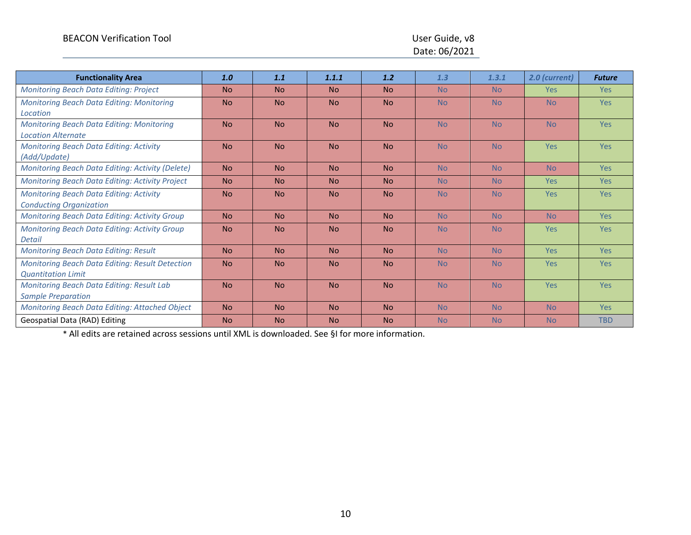# Date: 06/2021

| <b>Functionality Area</b>                              | 1.0       | 1.1       | 1.1.1     | 1.2       | 1.3       | 1.3.1          | 2.0 (current)  | <b>Future</b> |
|--------------------------------------------------------|-----------|-----------|-----------|-----------|-----------|----------------|----------------|---------------|
| <b>Monitoring Beach Data Editing: Project</b>          | <b>No</b> | <b>No</b> | <b>No</b> | <b>No</b> | <b>No</b> | N <sub>o</sub> | <b>Yes</b>     | <b>Yes</b>    |
| <b>Monitoring Beach Data Editing: Monitoring</b>       | <b>No</b> | <b>No</b> | <b>No</b> | <b>No</b> | <b>No</b> | <b>No</b>      | <b>No</b>      | <b>Yes</b>    |
| Location                                               |           |           |           |           |           |                |                |               |
| <b>Monitoring Beach Data Editing: Monitoring</b>       | <b>No</b> | <b>No</b> | <b>No</b> | <b>No</b> | <b>No</b> | <b>No</b>      | <b>No</b>      | <b>Yes</b>    |
| <b>Location Alternate</b>                              |           |           |           |           |           |                |                |               |
| <b>Monitoring Beach Data Editing: Activity</b>         | <b>No</b> | <b>No</b> | <b>No</b> | <b>No</b> | <b>No</b> | <b>No</b>      | Yes            | <b>Yes</b>    |
| (Add/Update)                                           |           |           |           |           |           |                |                |               |
| Monitoring Beach Data Editing: Activity (Delete)       | <b>No</b> | <b>No</b> | <b>No</b> | <b>No</b> | <b>No</b> | <b>No</b>      | <b>No</b>      | Yes           |
| Monitoring Beach Data Editing: Activity Project        | <b>No</b> | <b>No</b> | <b>No</b> | <b>No</b> | <b>No</b> | <b>No</b>      | <b>Yes</b>     | <b>Yes</b>    |
| <b>Monitoring Beach Data Editing: Activity</b>         | <b>No</b> | <b>No</b> | <b>No</b> | <b>No</b> | <b>No</b> | <b>No</b>      | <b>Yes</b>     | <b>Yes</b>    |
| <b>Conducting Organization</b>                         |           |           |           |           |           |                |                |               |
| Monitoring Beach Data Editing: Activity Group          | <b>No</b> | <b>No</b> | <b>No</b> | <b>No</b> | <b>No</b> | <b>No</b>      | N <sub>o</sub> | <b>Yes</b>    |
| Monitoring Beach Data Editing: Activity Group          | <b>No</b> | <b>No</b> | <b>No</b> | <b>No</b> | <b>No</b> | <b>No</b>      | <b>Yes</b>     | <b>Yes</b>    |
| <b>Detail</b>                                          |           |           |           |           |           |                |                |               |
| <b>Monitoring Beach Data Editing: Result</b>           | <b>No</b> | <b>No</b> | <b>No</b> | <b>No</b> | <b>No</b> | <b>No</b>      | <b>Yes</b>     | <b>Yes</b>    |
| <b>Monitoring Beach Data Editing: Result Detection</b> | <b>No</b> | <b>No</b> | <b>No</b> | <b>No</b> | <b>No</b> | <b>No</b>      | <b>Yes</b>     | <b>Yes</b>    |
| <b>Quantitation Limit</b>                              |           |           |           |           |           |                |                |               |
| <b>Monitoring Beach Data Editing: Result Lab</b>       | <b>No</b> | <b>No</b> | <b>No</b> | <b>No</b> | <b>No</b> | <b>No</b>      | <b>Yes</b>     | <b>Yes</b>    |
| <b>Sample Preparation</b>                              |           |           |           |           |           |                |                |               |
| Monitoring Beach Data Editing: Attached Object         | <b>No</b> | <b>No</b> | <b>No</b> | <b>No</b> | <b>No</b> | <b>No</b>      | <b>No</b>      | <b>Yes</b>    |
| Geospatial Data (RAD) Editing                          | <b>No</b> | <b>No</b> | <b>No</b> | <b>No</b> | <b>No</b> | <b>No</b>      | <b>No</b>      | <b>TBD</b>    |

\* All edits are retained across sessions until XML is downloaded. See [§I](#page-41-3) for more information.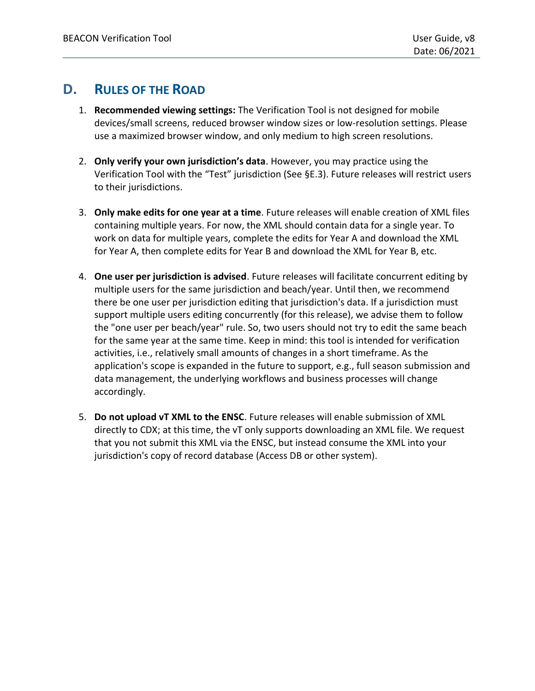# <span id="page-10-0"></span>**D. RULES OF THE ROAD**

- 1. **Recommended viewing settings:** The Verification Tool is not designed for mobile devices/small screens, reduced browser window sizes or low-resolution settings. Please use a maximized browser window, and only medium to high screen resolutions.
- 2. **Only verify your own jurisdiction's data**. However, you may practice using the Verification Tool with the "Test" jurisdiction (See [§E.3\)](#page-12-0). Future releases will restrict users to their jurisdictions.
- 3. **Only make edits for one year at a time**. Future releases will enable creation of XML files containing multiple years. For now, the XML should contain data for a single year. To work on data for multiple years, complete the edits for Year A and download the XML for Year A, then complete edits for Year B and download the XML for Year B, etc.
- 4. **One user per jurisdiction is advised**. Future releases will facilitate concurrent editing by multiple users for the same jurisdiction and beach/year. Until then, we recommend there be one user per jurisdiction editing that jurisdiction's data. If a jurisdiction must support multiple users editing concurrently (for this release), we advise them to follow the "one user per beach/year" rule. So, two users should not try to edit the same beach for the same year at the same time. Keep in mind: this tool is intended for verification activities, i.e., relatively small amounts of changes in a short timeframe. As the application's scope is expanded in the future to support, e.g., full season submission and data management, the underlying workflows and business processes will change accordingly.
- 5. **Do not upload vT XML to the ENSC**. Future releases will enable submission of XML directly to CDX; at this time, the vT only supports downloading an XML file. We request that you not submit this XML via the ENSC, but instead consume the XML into your jurisdiction's copy of record database (Access DB or other system).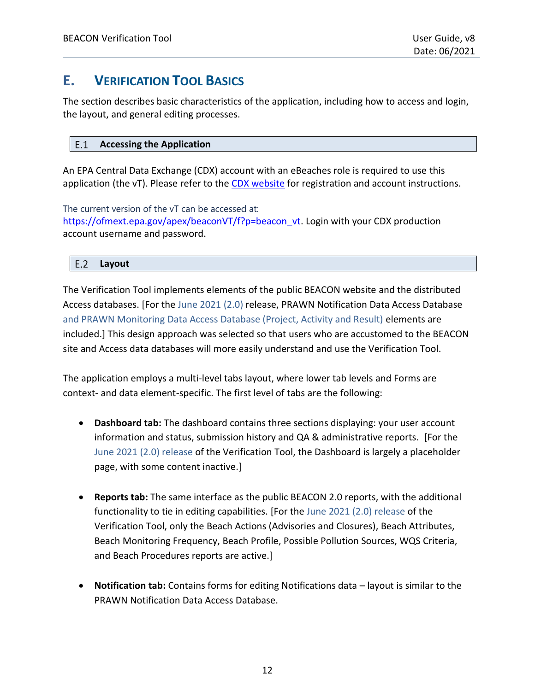# <span id="page-11-0"></span>**E. VERIFICATION TOOL BASICS**

The section describes basic characteristics of the application, including how to access and login, the layout, and general editing processes.

#### <span id="page-11-1"></span> $E.1$ **Accessing the Application**

An EPA Central Data Exchange (CDX) account with an eBeaches role is required to use this application (the vT). Please refer to the [CDX website](https://cdx.epa.gov/) for registration and account instructions.

The current version of the vT can be accessed at: [https://ofmext.epa.gov/apex/beaconVT/f?p=beacon\\_vt.](https://ofmext.epa.gov/apex/beaconVT/f?p=beacon_vt) Login with your CDX production account username and password.

#### <span id="page-11-2"></span> $E.2$ **Layout**

The Verification Tool implements elements of the public BEACON website and the distributed Access databases. [For the June 2021 (2.0) release, PRAWN Notification Data Access Database and PRAWN Monitoring Data Access Database (Project, Activity and Result) elements are included.] This design approach was selected so that users who are accustomed to the BEACON site and Access data databases will more easily understand and use the Verification Tool.

The application employs a multi-level tabs layout, where lower tab levels and Forms are context- and data element-specific. The first level of tabs are the following:

- **Dashboard tab:** The dashboard contains three sections displaying: your user account information and status, submission history and QA & administrative reports. [For the June 2021 (2.0) release of the Verification Tool, the Dashboard is largely a placeholder page, with some content inactive.]
- **Reports tab:** The same interface as the public BEACON 2.0 reports, with the additional functionality to tie in editing capabilities. [For the June 2021 (2.0) release of the Verification Tool, only the Beach Actions (Advisories and Closures), Beach Attributes, Beach Monitoring Frequency, Beach Profile, Possible Pollution Sources, WQS Criteria, and Beach Procedures reports are active.]
- **Notification tab:** Contains forms for editing Notifications data layout is similar to the PRAWN Notification Data Access Database.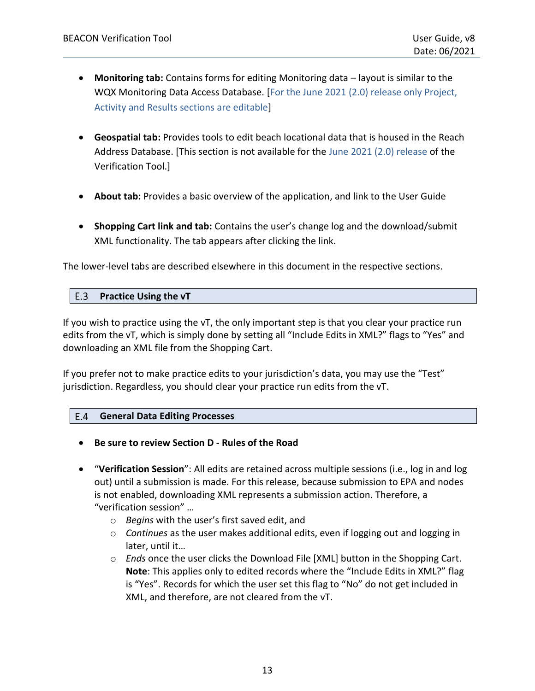- **Monitoring tab:** Contains forms for editing Monitoring data layout is similar to the WQX Monitoring Data Access Database. [For the June 2021 (2.0) release only Project, Activity and Results sections are editable]
- **Geospatial tab:** Provides tools to edit beach locational data that is housed in the Reach Address Database. [This section is not available for the June 2021 (2.0) release of the Verification Tool.]
- **About tab:** Provides a basic overview of the application, and link to the User Guide
- **Shopping Cart link and tab:** Contains the user's change log and the download/submit XML functionality. The tab appears after clicking the link.

<span id="page-12-0"></span>The lower-level tabs are described elsewhere in this document in the respective sections.

#### $E.3$ **Practice Using the vT**

If you wish to practice using the vT, the only important step is that you clear your practice run edits from the vT, which is simply done by setting all "Include Edits in XML?" flags to "Yes" and downloading an XML file from the Shopping Cart.

If you prefer not to make practice edits to your jurisdiction's data, you may use the "Test" jurisdiction. Regardless, you should clear your practice run edits from the vT.

#### <span id="page-12-1"></span> $E.4$ **General Data Editing Processes**

- **Be sure to review Section [D](#page-10-0) - [Rules of the Road](#page-10-0)**
- "**Verification Session**": All edits are retained across multiple sessions (i.e., log in and log out) until a submission is made. For this release, because submission to EPA and nodes is not enabled, downloading XML represents a submission action. Therefore, a "verification session" …
	- o *Begins* with the user's first saved edit, and
	- o *Continues* as the user makes additional edits, even if logging out and logging in later, until it…
	- o *Ends* once the user clicks the Download File [XML] button in the Shopping Cart. **Note**: This applies only to edited records where the "Include Edits in XML?" flag is "Yes". Records for which the user set this flag to "No" do not get included in XML, and therefore, are not cleared from the vT.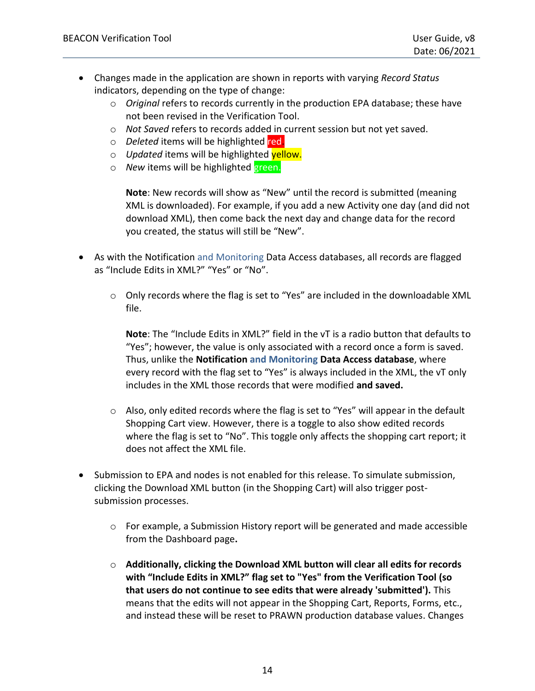- Changes made in the application are shown in reports with varying *Record Status*  indicators, depending on the type of change:
	- o *Original* refers to records currently in the production EPA database; these have not been revised in the Verification Tool.
	- o *Not Saved* refers to records added in current session but not yet saved.
	- o *Deleted* items will be highlighted red.
	- o *Updated* items will be highlighted yellow.
	- o *New* items will be highlighted green.

**Note**: New records will show as "New" until the record is submitted (meaning XML is downloaded). For example, if you add a new Activity one day (and did not download XML), then come back the next day and change data for the record you created, the status will still be "New".

- As with the Notification and Monitoring Data Access databases, all records are flagged as "Include Edits in XML?" "Yes" or "No".
	- o Only records where the flag is set to "Yes" are included in the downloadable XML file.

**Note**: The "Include Edits in XML?" field in the vT is a radio button that defaults to "Yes"; however, the value is only associated with a record once a form is saved. Thus, unlike the **Notification and Monitoring Data Access database**, where every record with the flag set to "Yes" is always included in the XML, the vT only includes in the XML those records that were modified **and saved.**

- o Also, only edited records where the flag is set to "Yes" will appear in the default Shopping Cart view. However, there is a toggle to also show edited records where the flag is set to "No". This toggle only affects the shopping cart report; it does not affect the XML file.
- Submission to EPA and nodes is not enabled for this release. To simulate submission, clicking the Download XML button (in the Shopping Cart) will also trigger postsubmission processes.
	- $\circ$  For example, a Submission History report will be generated and made accessible from the Dashboard page**.**
	- o **Additionally, clicking the Download XML button will clear all edits for records with "Include Edits in XML?" flag set to "Yes" from the Verification Tool (so that users do not continue to see edits that were already 'submitted').** This means that the edits will not appear in the Shopping Cart, Reports, Forms, etc., and instead these will be reset to PRAWN production database values. Changes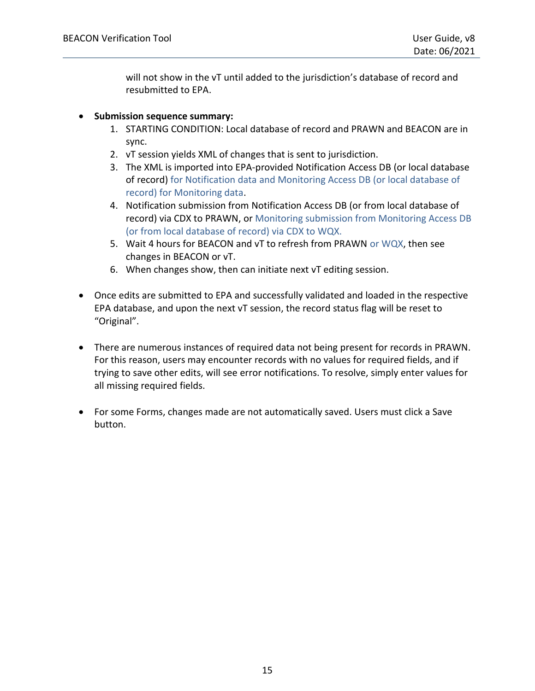will not show in the vT until added to the jurisdiction's database of record and resubmitted to EPA.

#### • **Submission sequence summary:**

- 1. STARTING CONDITION: Local database of record and PRAWN and BEACON are in sync.
- 2. vT session yields XML of changes that is sent to jurisdiction.
- 3. The XML is imported into EPA-provided Notification Access DB (or local database of record) for Notification data and Monitoring Access DB (or local database of record) for Monitoring data.
- 4. Notification submission from Notification Access DB (or from local database of record) via CDX to PRAWN, or Monitoring submission from Monitoring Access DB (or from local database of record) via CDX to WQX.
- 5. Wait 4 hours for BEACON and vT to refresh from PRAWN or WQX, then see changes in BEACON or vT.
- 6. When changes show, then can initiate next vT editing session.
- Once edits are submitted to EPA and successfully validated and loaded in the respective EPA database, and upon the next vT session, the record status flag will be reset to "Original".
- There are numerous instances of required data not being present for records in PRAWN. For this reason, users may encounter records with no values for required fields, and if trying to save other edits, will see error notifications. To resolve, simply enter values for all missing required fields.
- For some Forms, changes made are not automatically saved. Users must click a Save button.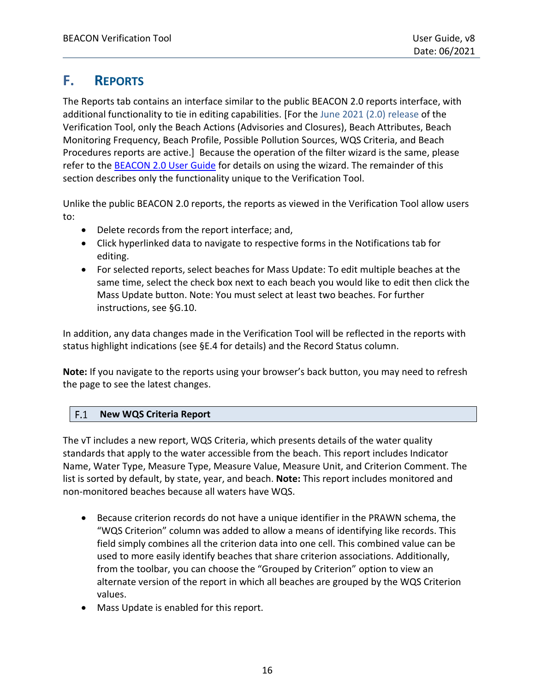# <span id="page-15-0"></span>**F. REPORTS**

The Reports tab contains an interface similar to the public BEACON 2.0 reports interface, with additional functionality to tie in editing capabilities. [For the June 2021 (2.0) release of the Verification Tool, only the Beach Actions (Advisories and Closures), Beach Attributes, Beach Monitoring Frequency, Beach Profile, Possible Pollution Sources, WQS Criteria, and Beach Procedures reports are active.] Because the operation of the filter wizard is the same, please refer to the **[BEACON 2.0 User Guide](https://www.epa.gov/sites/production/files/2014-08/documents/beacon_usersguide.pdf)** for details on using the wizard. The remainder of this section describes only the functionality unique to the Verification Tool.

Unlike the public BEACON 2.0 reports, the reports as viewed in the Verification Tool allow users to:

- Delete records from the report interface; and,
- Click hyperlinked data to navigate to respective forms in the Notifications tab for editing.
- For selected reports, select beaches for Mass Update: To edit multiple beaches at the same time, select the check box next to each beach you would like to edit then click the Mass Update button. Note: You must select at least two beaches. For further instructions, see [§G.10.](#page-30-2)

In addition, any data changes made in the Verification Tool will be reflected in the reports with status highlight indications (see [§E.4](#page-12-1) for details) and the Record Status column.

**Note:** If you navigate to the reports using your browser's back button, you may need to refresh the page to see the latest changes.

#### <span id="page-15-1"></span> $F.1$ **New WQS Criteria Report**

The vT includes a new report, WQS Criteria, which presents details of the water quality standards that apply to the water accessible from the beach. This report includes Indicator Name, Water Type, Measure Type, Measure Value, Measure Unit, and Criterion Comment. The list is sorted by default, by state, year, and beach. **Note:** This report includes monitored and non-monitored beaches because all waters have WQS.

- Because criterion records do not have a unique identifier in the PRAWN schema, the "WQS Criterion" column was added to allow a means of identifying like records. This field simply combines all the criterion data into one cell. This combined value can be used to more easily identify beaches that share criterion associations. Additionally, from the toolbar, you can choose the "Grouped by Criterion" option to view an alternate version of the report in which all beaches are grouped by the WQS Criterion values.
- Mass Update is enabled for this report.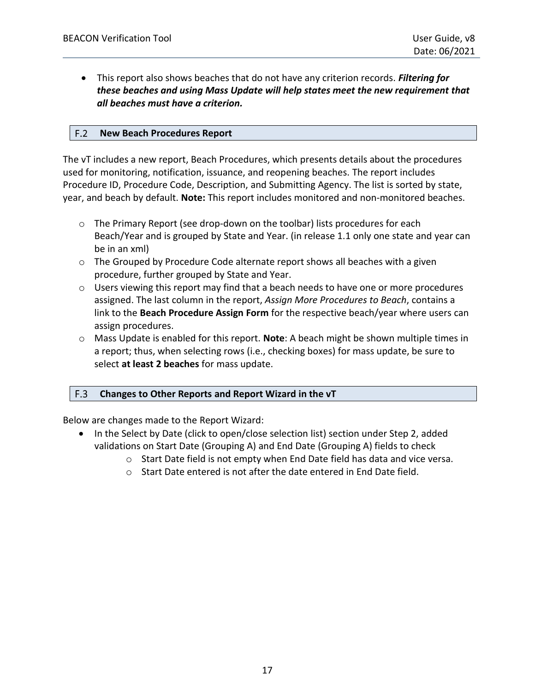• This report also shows beaches that do not have any criterion records. *Filtering for these beaches and using Mass Update will help states meet the new requirement that all beaches must have a criterion.*

#### <span id="page-16-0"></span> $F.2$ **New Beach Procedures Report**

The vT includes a new report, Beach Procedures, which presents details about the procedures used for monitoring, notification, issuance, and reopening beaches. The report includes Procedure ID, Procedure Code, Description, and Submitting Agency. The list is sorted by state, year, and beach by default. **Note:** This report includes monitored and non-monitored beaches.

- $\circ$  The Primary Report (see drop-down on the toolbar) lists procedures for each Beach/Year and is grouped by State and Year. (in release 1.1 only one state and year can be in an xml)
- $\circ$  The Grouped by Procedure Code alternate report shows all beaches with a given procedure, further grouped by State and Year.
- o Users viewing this report may find that a beach needs to have one or more procedures assigned. The last column in the report, *Assign More Procedures to Beach*, contains a link to the **Beach Procedure Assign Form** for the respective beach/year where users can assign procedures.
- o Mass Update is enabled for this report. **Note**: A beach might be shown multiple times in a report; thus, when selecting rows (i.e., checking boxes) for mass update, be sure to select **at least 2 beaches** for mass update.

#### <span id="page-16-1"></span> $F.3$ **Changes to Other Reports and Report Wizard in the vT**

Below are changes made to the Report Wizard:

- In the Select by Date (click to open/close selection list) section under Step 2, added validations on Start Date (Grouping A) and End Date (Grouping A) fields to check
	- $\circ$  Start Date field is not empty when End Date field has data and vice versa.
	- o Start Date entered is not after the date entered in End Date field.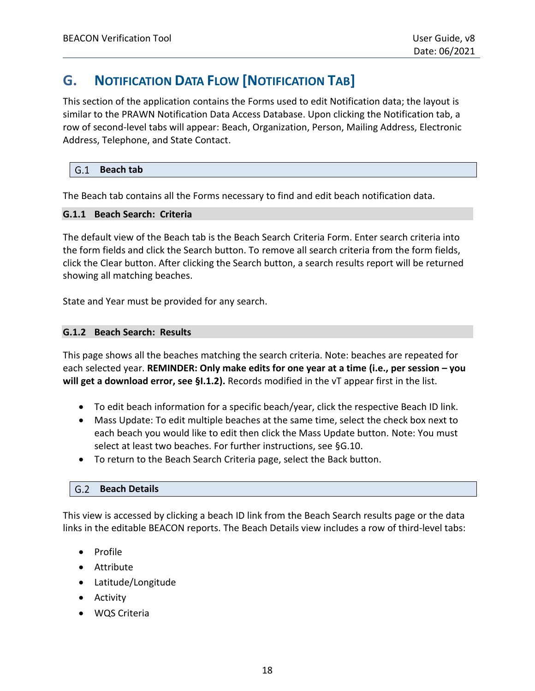# <span id="page-17-0"></span>**G. NOTIFICATION DATA FLOW [NOTIFICATION TAB]**

This section of the application contains the Forms used to edit Notification data; the layout is similar to the PRAWN Notification Data Access Database. Upon clicking the Notification tab, a row of second-level tabs will appear: Beach, Organization, Person, Mailing Address, Electronic Address, Telephone, and State Contact.

#### <span id="page-17-1"></span> $G.1$ **Beach tab**

The Beach tab contains all the Forms necessary to find and edit beach notification data.

#### <span id="page-17-2"></span>**G.1.1 Beach Search: Criteria**

The default view of the Beach tab is the Beach Search Criteria Form. Enter search criteria into the form fields and click the Search button. To remove all search criteria from the form fields, click the Clear button. After clicking the Search button, a search results report will be returned showing all matching beaches.

State and Year must be provided for any search.

#### <span id="page-17-3"></span>**G.1.2 Beach Search: Results**

This page shows all the beaches matching the search criteria. Note: beaches are repeated for each selected year. **REMINDER: Only make edits for one year at a time (i.e., per session – you will get a download error, see [§I.1.2\)](#page-43-0).** Records modified in the vT appear first in the list.

- To edit beach information for a specific beach/year, click the respective Beach ID link.
- Mass Update: To edit multiple beaches at the same time, select the check box next to each beach you would like to edit then click the Mass Update button. Note: You must select at least two beaches. For further instructions, see [§G.10.](#page-30-2)
- To return to the Beach Search Criteria page, select the Back button.

#### <span id="page-17-4"></span>**Beach Details**

This view is accessed by clicking a beach ID link from the Beach Search results page or the data links in the editable BEACON reports. The Beach Details view includes a row of third-level tabs:

- Profile
- Attribute
- Latitude/Longitude
- Activity
- WQS Criteria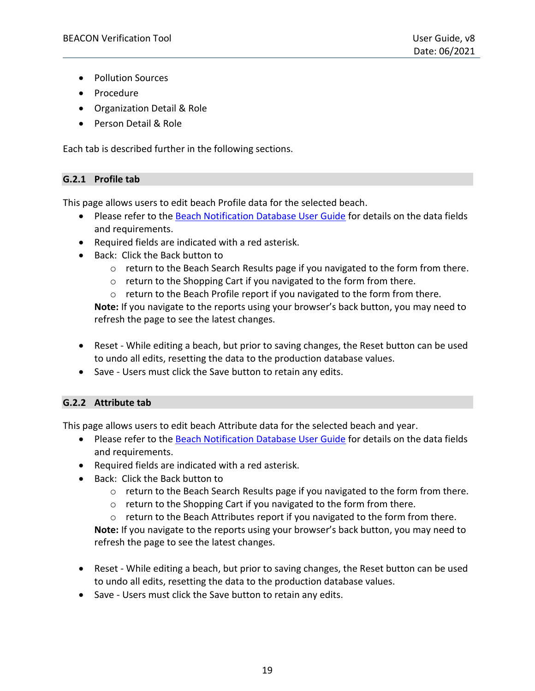- Pollution Sources
- Procedure
- Organization Detail & Role
- Person Detail & Role

Each tab is described further in the following sections.

### <span id="page-18-0"></span>**G.2.1 Profile tab**

This page allows users to edit beach Profile data for the selected beach.

- Please refer to the [Beach Notification Database User Guide](https://www.epa.gov/sites/production/files/2015-12/documents/beachnotification-user-guide.pdf) for details on the data fields and requirements.
- Required fields are indicated with a red asterisk.
- Back: Click the Back button to
	- o return to the Beach Search Results page if you navigated to the form from there.
	- o return to the Shopping Cart if you navigated to the form from there.
	- o return to the Beach Profile report if you navigated to the form from there.

**Note:** If you navigate to the reports using your browser's back button, you may need to refresh the page to see the latest changes.

- Reset While editing a beach, but prior to saving changes, the Reset button can be used to undo all edits, resetting the data to the production database values.
- Save Users must click the Save button to retain any edits.

### <span id="page-18-1"></span>**G.2.2 Attribute tab**

This page allows users to edit beach Attribute data for the selected beach and year.

- Please refer to the [Beach Notification Database User Guide](https://www.epa.gov/sites/production/files/2015-12/documents/beachnotification-user-guide.pdf) for details on the data fields and requirements.
- Required fields are indicated with a red asterisk.
- Back: Click the Back button to
	- o return to the Beach Search Results page if you navigated to the form from there.
	- o return to the Shopping Cart if you navigated to the form from there.
	- $\circ$  return to the Beach Attributes report if you navigated to the form from there.

**Note:** If you navigate to the reports using your browser's back button, you may need to refresh the page to see the latest changes.

- Reset While editing a beach, but prior to saving changes, the Reset button can be used to undo all edits, resetting the data to the production database values.
- Save Users must click the Save button to retain any edits.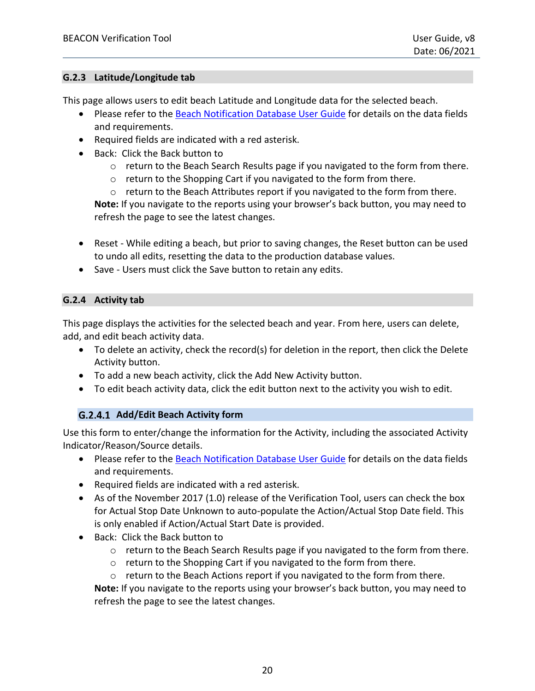### <span id="page-19-0"></span>**G.2.3 Latitude/Longitude tab**

This page allows users to edit beach Latitude and Longitude data for the selected beach.

- Please refer to the [Beach Notification Database User Guide](https://www.epa.gov/sites/production/files/2015-12/documents/beachnotification-user-guide.pdf) for details on the data fields and requirements.
- Required fields are indicated with a red asterisk.
- Back: Click the Back button to
	- $\circ$  return to the Beach Search Results page if you navigated to the form from there.
	- o return to the Shopping Cart if you navigated to the form from there.

o return to the Beach Attributes report if you navigated to the form from there. **Note:** If you navigate to the reports using your browser's back button, you may need to refresh the page to see the latest changes.

- Reset While editing a beach, but prior to saving changes, the Reset button can be used to undo all edits, resetting the data to the production database values.
- Save Users must click the Save button to retain any edits.

### <span id="page-19-1"></span>**G.2.4 Activity tab**

This page displays the activities for the selected beach and year. From here, users can delete, add, and edit beach activity data.

- To delete an activity, check the record(s) for deletion in the report, then click the Delete Activity button.
- To add a new beach activity, click the Add New Activity button.
- To edit beach activity data, click the edit button next to the activity you wish to edit.

### G.2.4.1 Add/Edit Beach Activity form

Use this form to enter/change the information for the Activity, including the associated Activity Indicator/Reason/Source details.

- Please refer to the [Beach Notification Database User Guide](https://www.epa.gov/sites/production/files/2015-12/documents/beachnotification-user-guide.pdf) for details on the data fields and requirements.
- Required fields are indicated with a red asterisk.
- As of the November 2017 (1.0) release of the Verification Tool, users can check the box for Actual Stop Date Unknown to auto-populate the Action/Actual Stop Date field. This is only enabled if Action/Actual Start Date is provided.
- Back: Click the Back button to
	- $\circ$  return to the Beach Search Results page if you navigated to the form from there.
	- o return to the Shopping Cart if you navigated to the form from there.
	- o return to the Beach Actions report if you navigated to the form from there.

**Note:** If you navigate to the reports using your browser's back button, you may need to refresh the page to see the latest changes.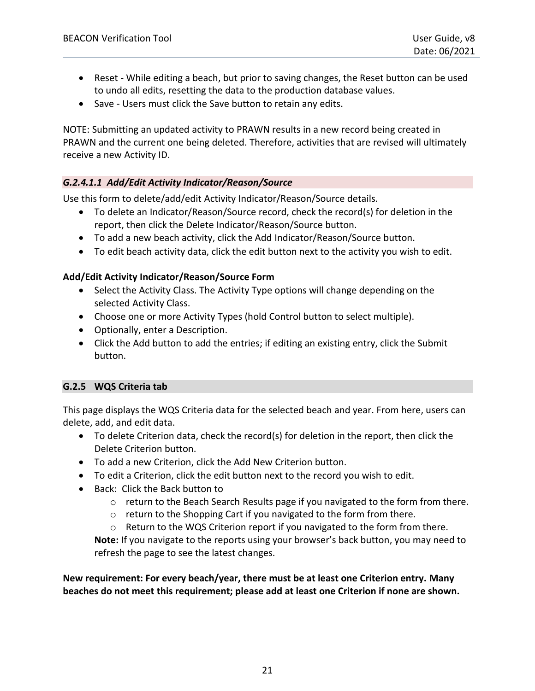- Reset While editing a beach, but prior to saving changes, the Reset button can be used to undo all edits, resetting the data to the production database values.
- Save Users must click the Save button to retain any edits.

NOTE: Submitting an updated activity to PRAWN results in a new record being created in PRAWN and the current one being deleted. Therefore, activities that are revised will ultimately receive a new Activity ID.

### *G.2.4.1.1 Add/Edit Activity Indicator/Reason/Source*

Use this form to delete/add/edit Activity Indicator/Reason/Source details.

- To delete an Indicator/Reason/Source record, check the record(s) for deletion in the report, then click the Delete Indicator/Reason/Source button.
- To add a new beach activity, click the Add Indicator/Reason/Source button.
- To edit beach activity data, click the edit button next to the activity you wish to edit.

#### **Add/Edit Activity Indicator/Reason/Source Form**

- Select the Activity Class. The Activity Type options will change depending on the selected Activity Class.
- Choose one or more Activity Types (hold Control button to select multiple).
- Optionally, enter a Description.
- Click the Add button to add the entries; if editing an existing entry, click the Submit button.

### <span id="page-20-0"></span>**G.2.5 WQS Criteria tab**

This page displays the WQS Criteria data for the selected beach and year. From here, users can delete, add, and edit data.

- To delete Criterion data, check the record(s) for deletion in the report, then click the Delete Criterion button.
- To add a new Criterion, click the Add New Criterion button.
- To edit a Criterion, click the edit button next to the record you wish to edit.
- Back: Click the Back button to
	- $\circ$  return to the Beach Search Results page if you navigated to the form from there.
	- o return to the Shopping Cart if you navigated to the form from there.
	- o Return to the WQS Criterion report if you navigated to the form from there.

**Note:** If you navigate to the reports using your browser's back button, you may need to refresh the page to see the latest changes.

**New requirement: For every beach/year, there must be at least one Criterion entry. Many beaches do not meet this requirement; please add at least one Criterion if none are shown.**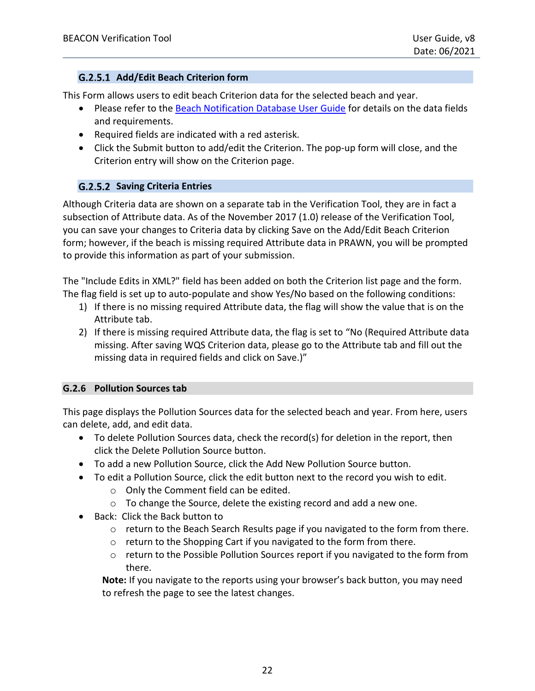### **Add/Edit Beach Criterion form**

This Form allows users to edit beach Criterion data for the selected beach and year.

- Please refer to the [Beach Notification Database User Guide](https://www.epa.gov/sites/production/files/2015-12/documents/beachnotification-user-guide.pdf) for details on the data fields and requirements.
- Required fields are indicated with a red asterisk.
- Click the Submit button to add/edit the Criterion. The pop-up form will close, and the Criterion entry will show on the Criterion page.

### **Saving Criteria Entries**

Although Criteria data are shown on a separate tab in the Verification Tool, they are in fact a subsection of Attribute data. As of the November 2017 (1.0) release of the Verification Tool, you can save your changes to Criteria data by clicking Save on the Add/Edit Beach Criterion form; however, if the beach is missing required Attribute data in PRAWN, you will be prompted to provide this information as part of your submission.

The "Include Edits in XML?" field has been added on both the Criterion list page and the form. The flag field is set up to auto-populate and show Yes/No based on the following conditions:

- 1) If there is no missing required Attribute data, the flag will show the value that is on the Attribute tab.
- 2) If there is missing required Attribute data, the flag is set to "No (Required Attribute data missing. After saving WQS Criterion data, please go to the Attribute tab and fill out the missing data in required fields and click on Save.)"

### <span id="page-21-0"></span>**G.2.6 Pollution Sources tab**

This page displays the Pollution Sources data for the selected beach and year. From here, users can delete, add, and edit data.

- To delete Pollution Sources data, check the record(s) for deletion in the report, then click the Delete Pollution Source button.
- To add a new Pollution Source, click the Add New Pollution Source button.
- To edit a Pollution Source, click the edit button next to the record you wish to edit.
	- o Only the Comment field can be edited.
	- o To change the Source, delete the existing record and add a new one.
- Back: Click the Back button to
	- $\circ$  return to the Beach Search Results page if you navigated to the form from there.
	- o return to the Shopping Cart if you navigated to the form from there.
	- $\circ$  return to the Possible Pollution Sources report if you navigated to the form from there.

**Note:** If you navigate to the reports using your browser's back button, you may need to refresh the page to see the latest changes.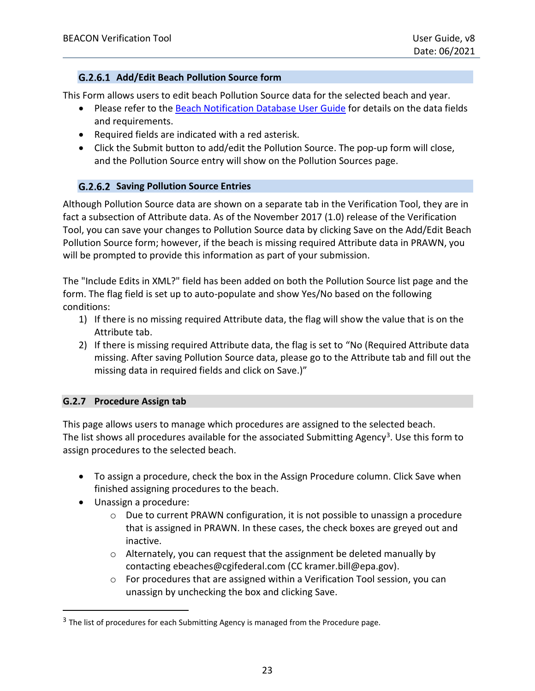### **Add/Edit Beach Pollution Source form**

This Form allows users to edit beach Pollution Source data for the selected beach and year.

- Please refer to the [Beach Notification Database User Guide](https://www.epa.gov/sites/production/files/2015-12/documents/beachnotification-user-guide.pdf) for details on the data fields and requirements.
- Required fields are indicated with a red asterisk.
- Click the Submit button to add/edit the Pollution Source. The pop-up form will close, and the Pollution Source entry will show on the Pollution Sources page.

### **Saving Pollution Source Entries**

Although Pollution Source data are shown on a separate tab in the Verification Tool, they are in fact a subsection of Attribute data. As of the November 2017 (1.0) release of the Verification Tool, you can save your changes to Pollution Source data by clicking Save on the Add/Edit Beach Pollution Source form; however, if the beach is missing required Attribute data in PRAWN, you will be prompted to provide this information as part of your submission.

The "Include Edits in XML?" field has been added on both the Pollution Source list page and the form. The flag field is set up to auto-populate and show Yes/No based on the following conditions:

- 1) If there is no missing required Attribute data, the flag will show the value that is on the Attribute tab.
- 2) If there is missing required Attribute data, the flag is set to "No (Required Attribute data missing. After saving Pollution Source data, please go to the Attribute tab and fill out the missing data in required fields and click on Save.)"

### <span id="page-22-0"></span>**G.2.7 Procedure Assign tab**

This page allows users to manage which procedures are assigned to the selected beach. The list shows all procedures available for the associated Submitting Agency<sup>3</sup>. Use this form to assign procedures to the selected beach.

- To assign a procedure, check the box in the Assign Procedure column. Click Save when finished assigning procedures to the beach.
- Unassign a procedure:
	- $\circ$  Due to current PRAWN configuration, it is not possible to unassign a procedure that is assigned in PRAWN. In these cases, the check boxes are greyed out and inactive.
	- o Alternately, you can request that the assignment be deleted manually by contacting [ebeaches@cgifederal.com \(CC kramer.bill@epa.gov\).](mailto:kramer.bill@epa.gov)
	- $\circ$  For procedures that are assigned within a Verification Tool session, you can unassign by unchecking the box and clicking Save.

 $3$  The list of procedures for each Submitting Agency is managed from the Procedure page.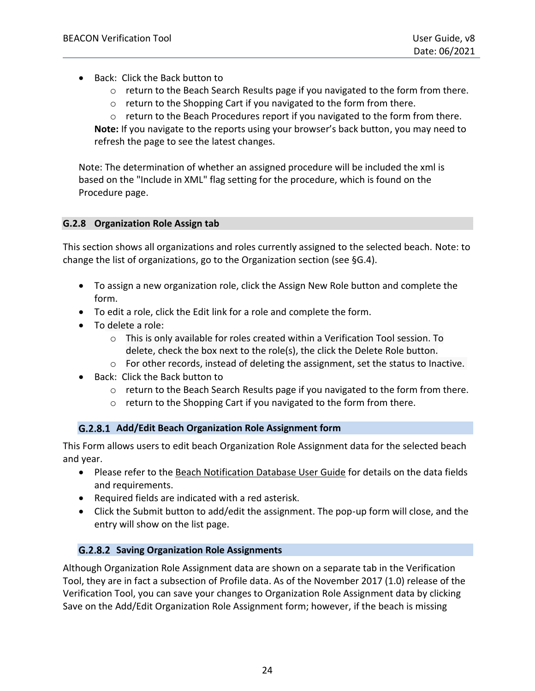- Back: Click the Back button to
	- o return to the Beach Search Results page if you navigated to the form from there.
	- o return to the Shopping Cart if you navigated to the form from there.
	- $\circ$  return to the Beach Procedures report if you navigated to the form from there.

**Note:** If you navigate to the reports using your browser's back button, you may need to refresh the page to see the latest changes.

Note: The determination of whether an assigned procedure will be included the xml is based on the "Include in XML" flag setting for the procedure, which is found on the Procedure page.

#### <span id="page-23-0"></span>**G.2.8 Organization Role Assign tab**

This section shows all organizations and roles currently assigned to the selected beach. Note: to change the list of organizations, go to the Organization section (see [§G.4\)](#page-26-1).

- To assign a new organization role, click the Assign New Role button and complete the form.
- To edit a role, click the Edit link for a role and complete the form.
- To delete a role:
	- $\circ$  This is only available for roles created within a Verification Tool session. To delete, check the box next to the role(s), the click the Delete Role button.
	- $\circ$  For other records, instead of deleting the assignment, set the status to Inactive.
- Back: Click the Back button to
	- $\circ$  return to the Beach Search Results page if you navigated to the form from there.
	- o return to the Shopping Cart if you navigated to the form from there.

### **Add/Edit Beach Organization Role Assignment form**

This Form allows users to edit beach Organization Role Assignment data for the selected beach and year.

- Please refer to the [Beach Notification Database User Guide](https://www.epa.gov/sites/production/files/2015-12/documents/beachnotification-user-guide.pdf) for details on the data fields and requirements.
- Required fields are indicated with a red asterisk.
- Click the Submit button to add/edit the assignment. The pop-up form will close, and the entry will show on the list page.

### **Saving Organization Role Assignments**

Although Organization Role Assignment data are shown on a separate tab in the Verification Tool, they are in fact a subsection of Profile data. As of the November 2017 (1.0) release of the Verification Tool, you can save your changes to Organization Role Assignment data by clicking Save on the Add/Edit Organization Role Assignment form; however, if the beach is missing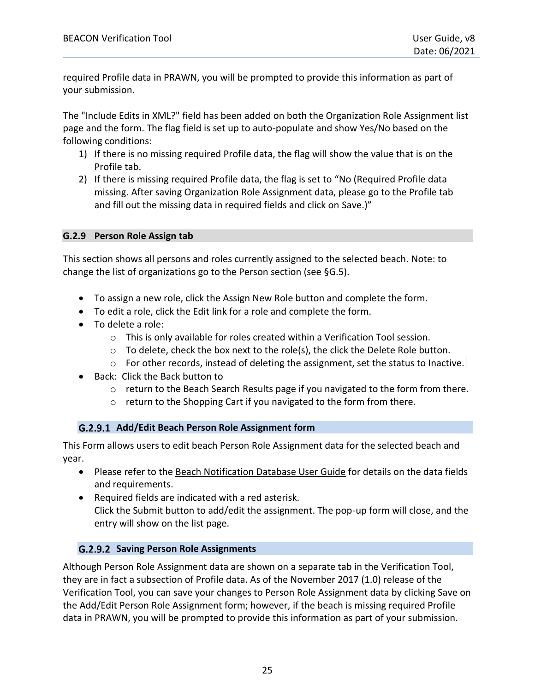required Profile data in PRAWN, you will be prompted to provide this information as part of your submission.

The "Include Edits in XML?" field has been added on both the Organization Role Assignment list page and the form. The flag field is set up to auto-populate and show Yes/No based on the following conditions:

- 1) If there is no missing required Profile data, the flag will show the value that is on the Profile tab.
- 2) If there is missing required Profile data, the flag is set to "No (Required Profile data missing. After saving Organization Role Assignment data, please go to the Profile tab and fill out the missing data in required fields and click on Save.)"

#### <span id="page-24-0"></span>**G.2.9 Person Role Assign tab**

This section shows all persons and roles currently assigned to the selected beach. Note: to change the list of organizations go to the Person section (see [§G.5\)](#page-27-0).

- To assign a new role, click the Assign New Role button and complete the form.
- To edit a role, click the Edit link for a role and complete the form.
- To delete a role:
	- o This is only available for roles created within a Verification Tool session.
	- $\circ$  To delete, check the box next to the role(s), the click the Delete Role button.
	- $\circ$  For other records, instead of deleting the assignment, set the status to Inactive.
- Back: Click the Back button to
	- $\circ$  return to the Beach Search Results page if you navigated to the form from there.
	- o return to the Shopping Cart if you navigated to the form from there.

### **Add/Edit Beach Person Role Assignment form**

This Form allows users to edit beach Person Role Assignment data for the selected beach and year.

- Please refer to the [Beach Notification Database User Guide](https://www.epa.gov/sites/production/files/2015-12/documents/beachnotification-user-guide.pdf) for details on the data fields and requirements.
- Required fields are indicated with a red asterisk. Click the Submit button to add/edit the assignment. The pop-up form will close, and the entry will show on the list page.

### **Saving Person Role Assignments**

Although Person Role Assignment data are shown on a separate tab in the Verification Tool, they are in fact a subsection of Profile data. As of the November 2017 (1.0) release of the Verification Tool, you can save your changes to Person Role Assignment data by clicking Save on the Add/Edit Person Role Assignment form; however, if the beach is missing required Profile data in PRAWN, you will be prompted to provide this information as part of your submission.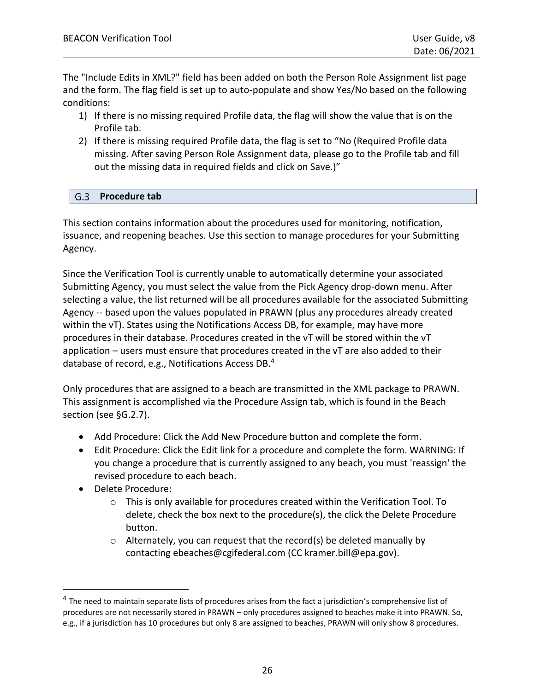The "Include Edits in XML?" field has been added on both the Person Role Assignment list page and the form. The flag field is set up to auto-populate and show Yes/No based on the following conditions:

- 1) If there is no missing required Profile data, the flag will show the value that is on the Profile tab.
- 2) If there is missing required Profile data, the flag is set to "No (Required Profile data missing. After saving Person Role Assignment data, please go to the Profile tab and fill out the missing data in required fields and click on Save.)"

### <span id="page-25-0"></span>**Procedure tab**

This section contains information about the procedures used for monitoring, notification, issuance, and reopening beaches. Use this section to manage procedures for your Submitting Agency.

Since the Verification Tool is currently unable to automatically determine your associated Submitting Agency, you must select the value from the Pick Agency drop-down menu. After selecting a value, the list returned will be all procedures available for the associated Submitting Agency -- based upon the values populated in PRAWN (plus any procedures already created within the vT). States using the Notifications Access DB, for example, may have more procedures in their database. Procedures created in the vT will be stored within the vT application – users must ensure that procedures created in the vT are also added to their database of record, e.g., Notifications Access DB.<sup>4</sup>

Only procedures that are assigned to a beach are transmitted in the XML package to PRAWN. This assignment is accomplished via the Procedure Assign tab, which is found in the Beach section (see [§G.2.7\)](#page-22-0).

- Add Procedure: Click the Add New Procedure button and complete the form.
- Edit Procedure: Click the Edit link for a procedure and complete the form. WARNING: If you change a procedure that is currently assigned to any beach, you must 'reassign' the revised procedure to each beach.
- Delete Procedure:
	- $\circ$  This is only available for procedures created within the Verification Tool. To delete, check the box next to the procedure(s), the click the Delete Procedure button.
	- $\circ$  Alternately, you can request that the record(s) be deleted manually by contacting [ebeaches@cgifederal.com \(CC kramer.bill@epa.gov\).](mailto:kramer.bill@epa.gov)

<sup>&</sup>lt;sup>4</sup> The need to maintain separate lists of procedures arises from the fact a jurisdiction's comprehensive list of procedures are not necessarily stored in PRAWN – only procedures assigned to beaches make it into PRAWN. So, e.g., if a jurisdiction has 10 procedures but only 8 are assigned to beaches, PRAWN will only show 8 procedures.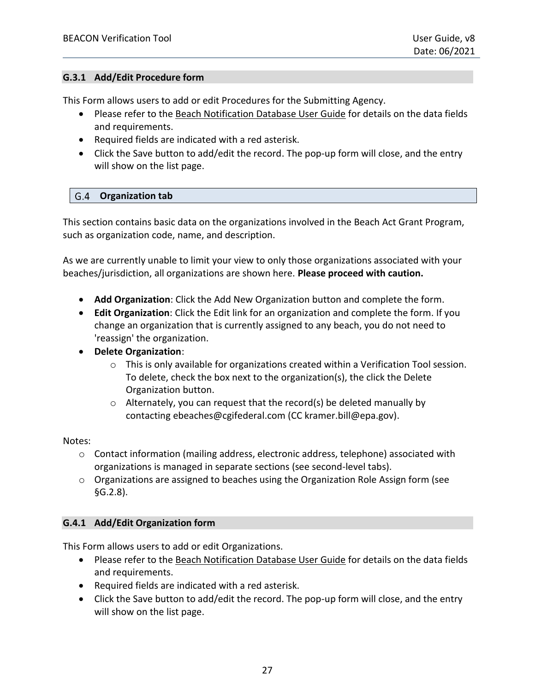#### <span id="page-26-0"></span>**G.3.1 Add/Edit Procedure form**

This Form allows users to add or edit Procedures for the Submitting Agency.

- Please refer to the [Beach Notification Database User Guide](https://www.epa.gov/sites/production/files/2015-12/documents/beachnotification-user-guide.pdf) for details on the data fields and requirements.
- Required fields are indicated with a red asterisk.
- Click the Save button to add/edit the record. The pop-up form will close, and the entry will show on the list page.

#### <span id="page-26-1"></span>**Organization tab**

This section contains basic data on the organizations involved in the Beach Act Grant Program, such as organization code, name, and description.

As we are currently unable to limit your view to only those organizations associated with your beaches/jurisdiction, all organizations are shown here. **Please proceed with caution.**

- **Add Organization**: Click the Add New Organization button and complete the form.
- **Edit Organization**: Click the Edit link for an organization and complete the form. If you change an organization that is currently assigned to any beach, you do not need to 'reassign' the organization.
- **Delete Organization**:
	- o This is only available for organizations created within a Verification Tool session. To delete, check the box next to the organization(s), the click the Delete Organization button.
	- $\circ$  Alternately, you can request that the record(s) be deleted manually by contacting [ebeaches@cgifederal.com \(CC kramer.bill@epa.gov\).](mailto:kramer.bill@epa.gov)

#### Notes:

- $\circ$  Contact information (mailing address, electronic address, telephone) associated with organizations is managed in separate sections (see second-level tabs).
- o Organizations are assigned to beaches using the Organization Role Assign form (see [§G.2.8\)](#page-23-0).

#### <span id="page-26-2"></span>**G.4.1 Add/Edit Organization form**

This Form allows users to add or edit Organizations.

- Please refer to the [Beach Notification Database User Guide](https://www.epa.gov/sites/production/files/2015-12/documents/beachnotification-user-guide.pdf) for details on the data fields and requirements.
- Required fields are indicated with a red asterisk.
- Click the Save button to add/edit the record. The pop-up form will close, and the entry will show on the list page.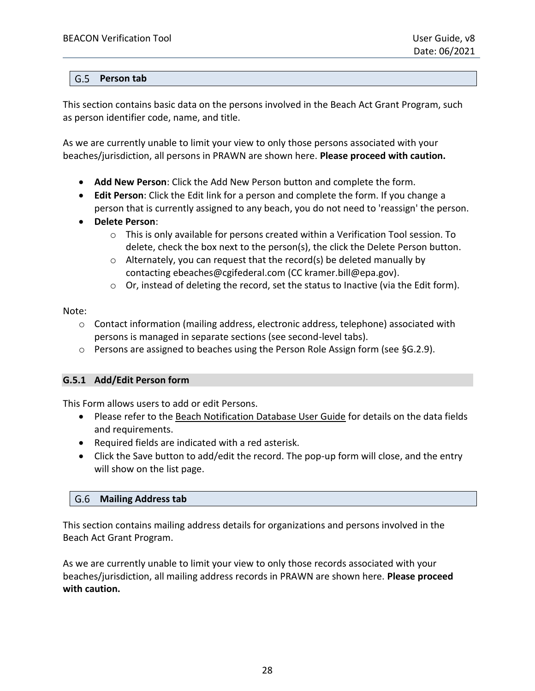#### <span id="page-27-0"></span>**Person tab**

This section contains basic data on the persons involved in the Beach Act Grant Program, such as person identifier code, name, and title.

As we are currently unable to limit your view to only those persons associated with your beaches/jurisdiction, all persons in PRAWN are shown here. **Please proceed with caution.** 

- **Add New Person**: Click the Add New Person button and complete the form.
- **Edit Person**: Click the Edit link for a person and complete the form. If you change a person that is currently assigned to any beach, you do not need to 'reassign' the person.
- **Delete Person**:
	- $\circ$  This is only available for persons created within a Verification Tool session. To delete, check the box next to the person(s), the click the Delete Person button.
	- $\circ$  Alternately, you can request that the record(s) be deleted manually by contacting [ebeaches@cgifederal.com \(CC kramer.bill@epa.gov\).](mailto:kramer.bill@epa.gov)
	- $\circ$  Or, instead of deleting the record, set the status to Inactive (via the Edit form).

Note:

- $\circ$  Contact information (mailing address, electronic address, telephone) associated with persons is managed in separate sections (see second-level tabs).
- o Persons are assigned to beaches using the Person Role Assign form (see [§G.2.9\)](#page-24-0).

### <span id="page-27-1"></span>**G.5.1 Add/Edit Person form**

This Form allows users to add or edit Persons.

- Please refer to the [Beach Notification Database User Guide](https://www.epa.gov/sites/production/files/2015-12/documents/beachnotification-user-guide.pdf) for details on the data fields and requirements.
- Required fields are indicated with a red asterisk.
- Click the Save button to add/edit the record. The pop-up form will close, and the entry will show on the list page.

#### <span id="page-27-2"></span>**Mailing Address tab**

This section contains mailing address details for organizations and persons involved in the Beach Act Grant Program.

As we are currently unable to limit your view to only those records associated with your beaches/jurisdiction, all mailing address records in PRAWN are shown here. **Please proceed with caution.**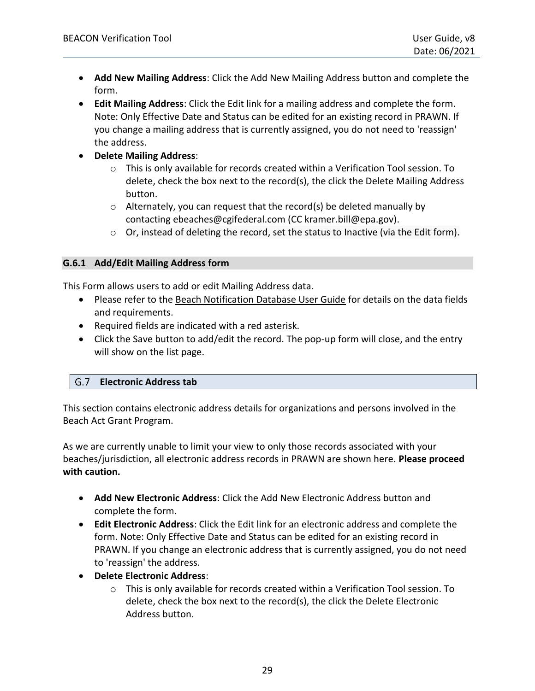- **Add New Mailing Address**: Click the Add New Mailing Address button and complete the form.
- **Edit Mailing Address**: Click the Edit link for a mailing address and complete the form. Note: Only Effective Date and Status can be edited for an existing record in PRAWN. If you change a mailing address that is currently assigned, you do not need to 'reassign' the address.
- **Delete Mailing Address**:
	- $\circ$  This is only available for records created within a Verification Tool session. To delete, check the box next to the record(s), the click the Delete Mailing Address button.
	- $\circ$  Alternately, you can request that the record(s) be deleted manually by contacting [ebeaches@cgifederal.com \(CC kramer.bill@epa.gov\).](mailto:kramer.bill@epa.gov)
	- $\circ$  Or, instead of deleting the record, set the status to Inactive (via the Edit form).

#### <span id="page-28-0"></span>**G.6.1 Add/Edit Mailing Address form**

This Form allows users to add or edit Mailing Address data.

- Please refer to the [Beach Notification Database User Guide](https://www.epa.gov/sites/production/files/2015-12/documents/beachnotification-user-guide.pdf) for details on the data fields and requirements.
- Required fields are indicated with a red asterisk.
- Click the Save button to add/edit the record. The pop-up form will close, and the entry will show on the list page.

### <span id="page-28-1"></span>**Electronic Address tab**

This section contains electronic address details for organizations and persons involved in the Beach Act Grant Program.

As we are currently unable to limit your view to only those records associated with your beaches/jurisdiction, all electronic address records in PRAWN are shown here. **Please proceed with caution.** 

- **Add New Electronic Address**: Click the Add New Electronic Address button and complete the form.
- **Edit Electronic Address**: Click the Edit link for an electronic address and complete the form. Note: Only Effective Date and Status can be edited for an existing record in PRAWN. If you change an electronic address that is currently assigned, you do not need to 'reassign' the address.
- **Delete Electronic Address**:
	- $\circ$  This is only available for records created within a Verification Tool session. To delete, check the box next to the record(s), the click the Delete Electronic Address button.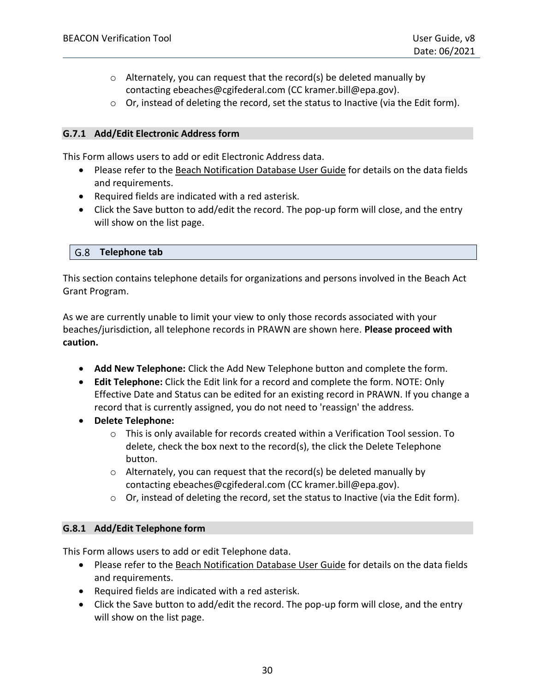- o Alternately, you can request that the record(s) be deleted manually by contacting [ebeaches@cgifederal.com \(CC kramer.bill@epa.gov\).](mailto:kramer.bill@epa.gov)
- o Or, instead of deleting the record, set the status to Inactive (via the Edit form).

#### <span id="page-29-0"></span>**G.7.1 Add/Edit Electronic Address form**

This Form allows users to add or edit Electronic Address data.

- Please refer to the [Beach Notification Database User Guide](https://www.epa.gov/sites/production/files/2015-12/documents/beachnotification-user-guide.pdf) for details on the data fields and requirements.
- Required fields are indicated with a red asterisk.
- Click the Save button to add/edit the record. The pop-up form will close, and the entry will show on the list page.

#### <span id="page-29-1"></span>**Telephone tab**

This section contains telephone details for organizations and persons involved in the Beach Act Grant Program.

As we are currently unable to limit your view to only those records associated with your beaches/jurisdiction, all telephone records in PRAWN are shown here. **Please proceed with caution.** 

- **Add New Telephone:** Click the Add New Telephone button and complete the form.
- **Edit Telephone:** Click the Edit link for a record and complete the form. NOTE: Only Effective Date and Status can be edited for an existing record in PRAWN. If you change a record that is currently assigned, you do not need to 'reassign' the address.
- **Delete Telephone:**
	- $\circ$  This is only available for records created within a Verification Tool session. To delete, check the box next to the record(s), the click the Delete Telephone button.
	- $\circ$  Alternately, you can request that the record(s) be deleted manually by contacting [ebeaches@cgifederal.com \(CC kramer.bill@epa.gov\).](mailto:kramer.bill@epa.gov)
	- $\circ$  Or, instead of deleting the record, set the status to Inactive (via the Edit form).

### <span id="page-29-2"></span>**G.8.1 Add/Edit Telephone form**

This Form allows users to add or edit Telephone data.

- Please refer to the [Beach Notification Database User Guide](https://www.epa.gov/sites/production/files/2015-12/documents/beachnotification-user-guide.pdf) for details on the data fields and requirements.
- Required fields are indicated with a red asterisk.
- Click the Save button to add/edit the record. The pop-up form will close, and the entry will show on the list page.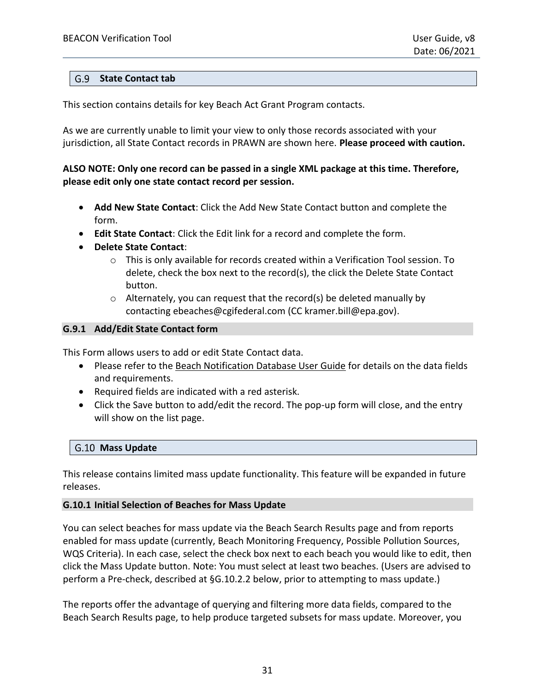#### <span id="page-30-0"></span>**State Contact tab**

This section contains details for key Beach Act Grant Program contacts.

As we are currently unable to limit your view to only those records associated with your jurisdiction, all State Contact records in PRAWN are shown here. **Please proceed with caution.**

### **ALSO NOTE: Only one record can be passed in a single XML package at this time. Therefore, please edit only one state contact record per session.**

- **Add New State Contact**: Click the Add New State Contact button and complete the form.
- **Edit State Contact**: Click the Edit link for a record and complete the form.
- **Delete State Contact**:
	- $\circ$  This is only available for records created within a Verification Tool session. To delete, check the box next to the record(s), the click the Delete State Contact button.
	- o Alternately, you can request that the record(s) be deleted manually by contacting [ebeaches@cgifederal.com \(CC kramer.bill@epa.gov\).](mailto:kramer.bill@epa.gov)

### <span id="page-30-1"></span>**G.9.1 Add/Edit State Contact form**

This Form allows users to add or edit State Contact data.

- Please refer to the [Beach Notification Database User Guide](https://www.epa.gov/sites/production/files/2015-12/documents/beachnotification-user-guide.pdf) for details on the data fields and requirements.
- Required fields are indicated with a red asterisk.
- Click the Save button to add/edit the record. The pop-up form will close, and the entry will show on the list page.

#### <span id="page-30-2"></span>**Mass Update**

This release contains limited mass update functionality. This feature will be expanded in future releases.

#### <span id="page-30-3"></span>**G.10.1 Initial Selection of Beaches for Mass Update**

You can select beaches for mass update via the Beach Search Results page and from reports enabled for mass update (currently, Beach Monitoring Frequency, Possible Pollution Sources, WQS Criteria). In each case, select the check box next to each beach you would like to edit, then click the Mass Update button. Note: You must select at least two beaches. (Users are advised to perform a Pre-check, described at §G.10.2.2 below, prior to attempting to mass update.)

The reports offer the advantage of querying and filtering more data fields, compared to the Beach Search Results page, to help produce targeted subsets for mass update. Moreover, you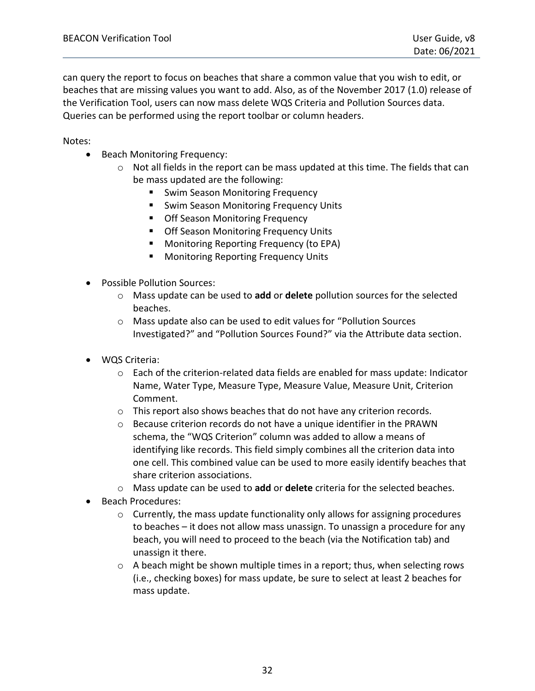can query the report to focus on beaches that share a common value that you wish to edit, or beaches that are missing values you want to add. Also, as of the November 2017 (1.0) release of the Verification Tool, users can now mass delete WQS Criteria and Pollution Sources data. Queries can be performed using the report toolbar or column headers.

Notes:

- Beach Monitoring Frequency:
	- o Not all fields in the report can be mass updated at this time. The fields that can be mass updated are the following:
		- Swim Season Monitoring Frequency
		- Swim Season Monitoring Frequency Units
		- Off Season Monitoring Frequency
		- Off Season Monitoring Frequency Units
		- Monitoring Reporting Frequency (to EPA)
		- Monitoring Reporting Frequency Units
- Possible Pollution Sources:
	- o Mass update can be used to **add** or **delete** pollution sources for the selected beaches.
	- o Mass update also can be used to edit values for "[Pollution](http://ofmdev1-epa-ow.attaincloud.com/pls/apex_owdev/f?p=117:42:2974648731279:ADD_MORE:NO:::) Sources [Investigated?](http://ofmdev1-epa-ow.attaincloud.com/pls/apex_owdev/f?p=117:42:2974648731279:ADD_MORE:NO:::)" and "Pollution [Sources Found?](http://ofmdev1-epa-ow.attaincloud.com/pls/apex_owdev/f?p=117:42:2974648731279:ADD_MORE:NO:::)" via the Attribute data section.
- WQS Criteria:
	- $\circ$  Each of the criterion-related data fields are enabled for mass update: Indicator Name, Water Type, Measure Type, Measure Value, Measure Unit, Criterion Comment.
	- $\circ$  This report also shows beaches that do not have any criterion records.
	- $\circ$  Because criterion records do not have a unique identifier in the PRAWN schema, the "[WQS Criterion](http://ofmdev1-epa-ow.attaincloud.com/pls/apex_owdev/f?p=117:45:2974648731279)" column was added to allow a means of identifying like records. This field simply combines all the criterion data into one cell. This combined value can be used to more easily identify beaches that share criterion associations.
	- o Mass update can be used to **add** or **delete** criteria for the selected beaches.
- Beach Procedures:
	- $\circ$  Currently, the mass update functionality only allows for assigning procedures to beaches – it does not allow mass unassign. To unassign a procedure for any beach, you will need to proceed to the beach (via the Notification tab) and unassign it there.
	- $\circ$  A beach might be shown multiple times in a report; thus, when selecting rows (i.e., checking boxes) for mass update, be sure to select at least 2 beaches for mass update.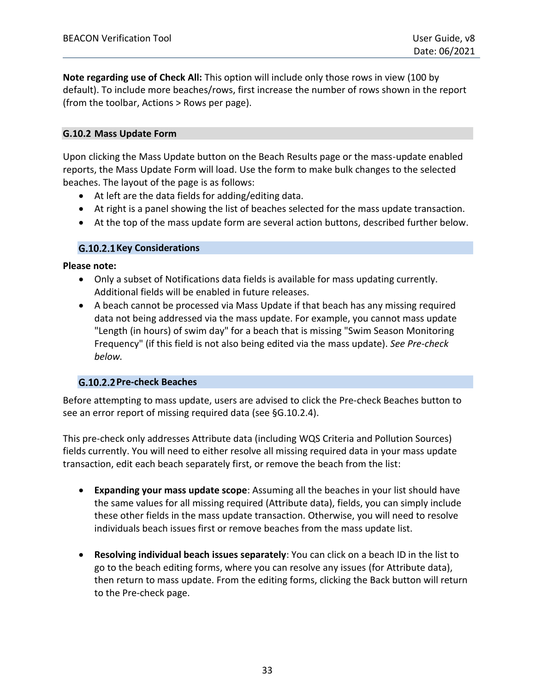**Note regarding use of Check All:** This option will include only those rows in view (100 by default). To include more beaches/rows, first increase the number of rows shown in the report (from the toolbar, Actions > Rows per page).

#### <span id="page-32-0"></span>**G.10.2 Mass Update Form**

Upon clicking the Mass Update button on the Beach Results page or the mass-update enabled reports, the Mass Update Form will load. Use the form to make bulk changes to the selected beaches. The layout of the page is as follows:

- At left are the data fields for adding/editing data.
- At right is a panel showing the list of beaches selected for the mass update transaction.
- At the top of the mass update form are several action buttons, described further below.

#### **Key Considerations**

**Please note:**

- Only a subset of Notifications data fields is available for mass updating currently. Additional fields will be enabled in future releases.
- A beach cannot be processed via Mass Update if that beach has any missing required data not being addressed via the mass update. For example, you cannot mass update "Length (in hours) of swim day" for a beach that is missing "Swim Season Monitoring Frequency" (if this field is not also being edited via the mass update). *See Pre-check below.*

### **Pre-check Beaches**

Before attempting to mass update, users are advised to click the Pre-check Beaches button to see an error report of missing required data (see [§G.10.2.4\)](#page-35-0).

This pre-check only addresses Attribute data (including WQS Criteria and Pollution Sources) fields currently. You will need to either resolve all missing required data in your mass update transaction, edit each beach separately first, or remove the beach from the list:

- **Expanding your mass update scope**: Assuming all the beaches in your list should have the same values for all missing required (Attribute data), fields, you can simply include these other fields in the mass update transaction. Otherwise, you will need to resolve individuals beach issues first or remove beaches from the mass update list.
- **Resolving individual beach issues separately**: You can click on a beach ID in the list to go to the beach editing forms, where you can resolve any issues (for Attribute data), then return to mass update. From the editing forms, clicking the Back button will return to the Pre-check page.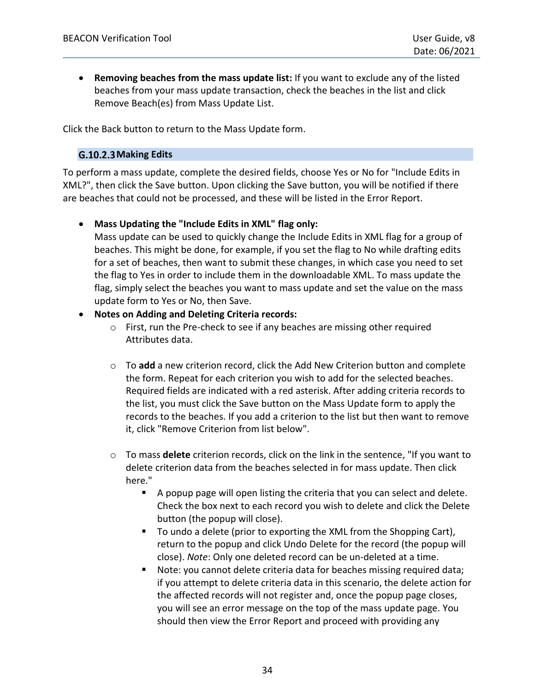• **Removing beaches from the mass update list:** If you want to exclude any of the listed beaches from your mass update transaction, check the beaches in the list and click Remove Beach(es) from Mass Update List.

Click the Back button to return to the Mass Update form.

#### <span id="page-33-0"></span>G.10.2.3 Making Edits

To perform a mass update, complete the desired fields, choose Yes or No for "Include Edits in XML?", then click the Save button. Upon clicking the Save button, you will be notified if there are beaches that could not be processed, and these will be listed in the Error Report.

#### • **Mass Updating the "Include Edits in XML" flag only:**

Mass update can be used to quickly change the Include Edits in XML flag for a group of beaches. This might be done, for example, if you set the flag to No while drafting edits for a set of beaches, then want to submit these changes, in which case you need to set the flag to Yes in order to include them in the downloadable XML. To mass update the flag, simply select the beaches you want to mass update and set the value on the mass update form to Yes or No, then Save.

#### • **Notes on Adding and Deleting Criteria records:**

- o First, run the Pre-check to see if any beaches are missing other required Attributes data.
- o To **add** a new criterion record, click the Add New Criterion button and complete the form. Repeat for each criterion you wish to add for the selected beaches. Required fields are indicated with a red asterisk. After adding criteria records to the list, you must click the Save button on the Mass Update form to apply the records to the beaches. If you add a criterion to the list but then want to remove it, click "Remove Criterion from list below".
- o To mass **delete** criterion records, click on the link in the sentence, "If you want to delete criterion data from the beaches selected in for mass update. Then click here."
	- A popup page will open listing the criteria that you can select and delete. Check the box next to each record you wish to delete and click the Delete button (the popup will close).
	- To undo a delete (prior to exporting the XML from the Shopping Cart), return to the popup and click Undo Delete for the record (the popup will close). *Note*: Only one deleted record can be un-deleted at a time.
	- Note: you cannot delete criteria data for beaches missing required data; if you attempt to delete criteria data in this scenario, the delete action for the affected records will not register and, once the popup page closes, you will see an error message on the top of the mass update page. You should then view the Error Report and proceed with providing any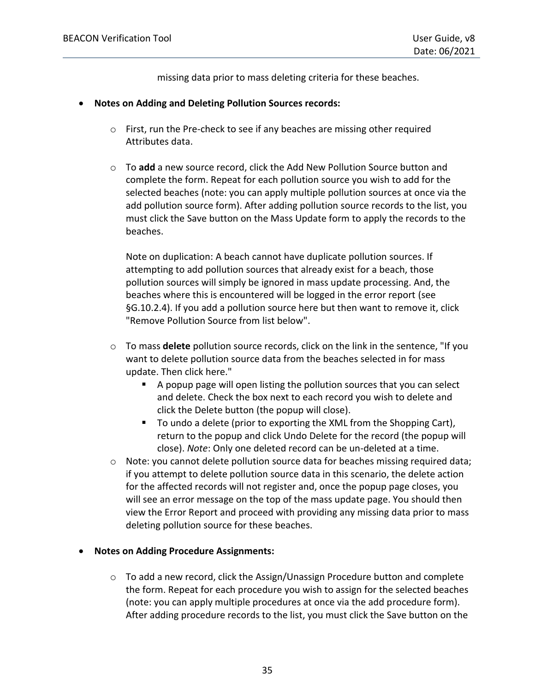missing data prior to mass deleting criteria for these beaches.

- **Notes on Adding and Deleting Pollution Sources records:**
	- o First, run the Pre-check to see if any beaches are missing other required Attributes data.
	- o To **add** a new source record, click the Add New Pollution Source button and complete the form. Repeat for each pollution source you wish to add for the selected beaches (note: you can apply multiple pollution sources at once via the add pollution source form). After adding pollution source records to the list, you must click the Save button on the Mass Update form to apply the records to the beaches.

Note on duplication: A beach cannot have duplicate pollution sources. If attempting to add pollution sources that already exist for a beach, those pollution sources will simply be ignored in mass update processing. And, the beaches where this is encountered will be logged in the error report (see [§G.10.2.4\)](#page-35-0). If you add a pollution source here but then want to remove it, click "Remove Pollution Source from list below".

- o To mass **delete** pollution source records, click on the link in the sentence, "If you want to delete pollution source data from the beaches selected in for mass update. Then click here."
	- A popup page will open listing the pollution sources that you can select and delete. Check the box next to each record you wish to delete and click the Delete button (the popup will close).
	- To undo a delete (prior to exporting the XML from the Shopping Cart), return to the popup and click Undo Delete for the record (the popup will close). *Note*: Only one deleted record can be un-deleted at a time.
- $\circ$  Note: you cannot delete pollution source data for beaches missing required data; if you attempt to delete pollution source data in this scenario, the delete action for the affected records will not register and, once the popup page closes, you will see an error message on the top of the mass update page. You should then view the Error Report and proceed with providing any missing data prior to mass deleting pollution source for these beaches.

### • **Notes on Adding Procedure Assignments:**

 $\circ$  To add a new record, click the Assign/Unassign Procedure button and complete the form. Repeat for each procedure you wish to assign for the selected beaches (note: you can apply multiple procedures at once via the add procedure form). After adding procedure records to the list, you must click the Save button on the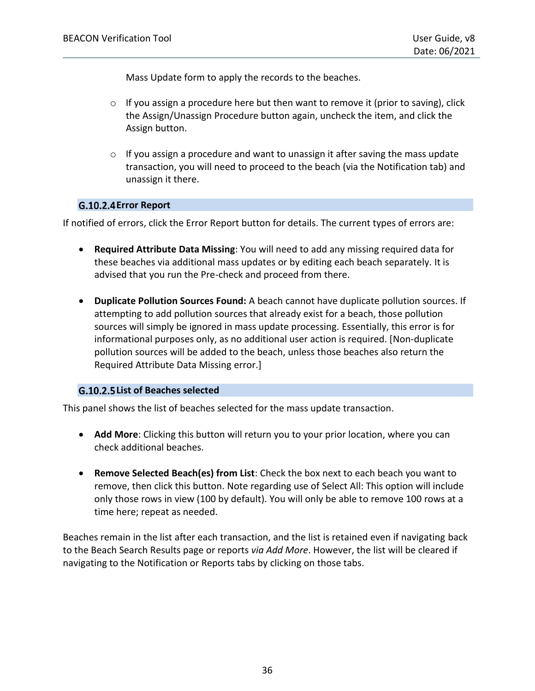Mass Update form to apply the records to the beaches.

- $\circ$  If you assign a procedure here but then want to remove it (prior to saving), click the Assign/Unassign Procedure button again, uncheck the item, and click the Assign button.
- $\circ$  If you assign a procedure and want to unassign it after saving the mass update transaction, you will need to proceed to the beach (via the Notification tab) and unassign it there.

### <span id="page-35-0"></span>G.10.2.4 Error Report

If notified of errors, click the Error Report button for details. The current types of errors are:

- **Required Attribute Data Missing**: You will need to add any missing required data for these beaches via additional mass updates or by editing each beach separately. It is advised that you run the Pre-check and proceed from there.
- **Duplicate Pollution Sources Found:** A beach cannot have duplicate pollution sources. If attempting to add pollution sources that already exist for a beach, those pollution sources will simply be ignored in mass update processing. Essentially, this error is for informational purposes only, as no additional user action is required. [Non-duplicate pollution sources will be added to the beach, unless those beaches also return the Required Attribute Data Missing error.]

### **List of Beaches selected**

This panel shows the list of beaches selected for the mass update transaction.

- **Add More**: Clicking this button will return you to your prior location, where you can check additional beaches.
- **Remove Selected Beach(es) from List**: Check the box next to each beach you want to remove, then click this button. Note regarding use of Select All: This option will include only those rows in view (100 by default). You will only be able to remove 100 rows at a time here; repeat as needed.

Beaches remain in the list after each transaction, and the list is retained even if navigating back to the Beach Search Results page or reports *via Add More*. However, the list will be cleared if navigating to the Notification or Reports tabs by clicking on those tabs.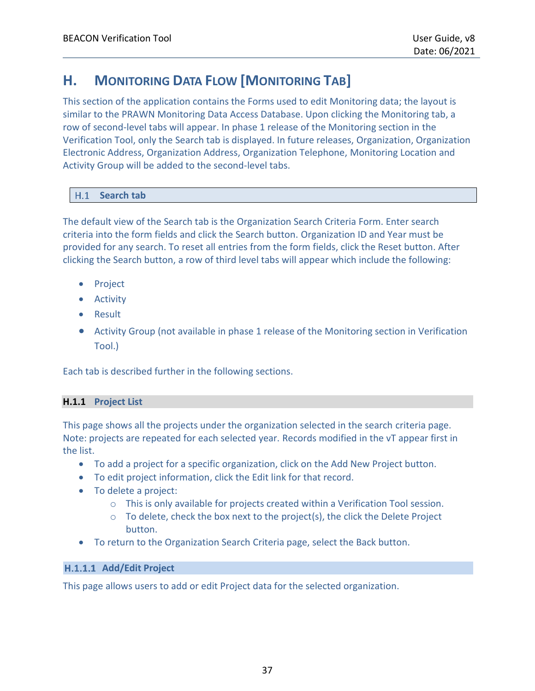# <span id="page-36-0"></span>**H. MONITORING DATA FLOW [MONITORING TAB]**

This section of the application contains the Forms used to edit Monitoring data; the layout is similar to the PRAWN Monitoring Data Access Database. Upon clicking the Monitoring tab, a row of second-level tabs will appear. In phase 1 release of the Monitoring section in the Verification Tool, only the Search tab is displayed. In future releases, Organization, Organization Electronic Address, Organization Address, Organization Telephone, Monitoring Location and Activity Group will be added to the second-level tabs.

### <span id="page-36-1"></span>**Search tab**

The default view of the Search tab is the Organization Search Criteria Form. Enter search criteria into the form fields and click the Search button. Organization ID and Year must be provided for any search. To reset all entries from the form fields, click the Reset button. After clicking the Search button, a row of third level tabs will appear which include the following:

- Project
- Activity
- Result
- Activity Group (not available in phase 1 release of the Monitoring section in Verification Tool.)

Each tab is described further in the following sections.

### <span id="page-36-2"></span>**H.1.1 Project List**

This page shows all the projects under the organization selected in the search criteria page. Note: projects are repeated for each selected year. Records modified in the vT appear first in the list.

- To add a project for a specific organization, click on the Add New Project button.
- To edit project information, click the Edit link for that record.
- To delete a project:
	- o This is only available for projects created within a Verification Tool session.
	- $\circ$  To delete, check the box next to the project(s), the click the Delete Project button.
- To return to the Organization Search Criteria page, select the Back button.

### H.1.1.1 Add/Edit Project

This page allows users to add or edit Project data for the selected organization.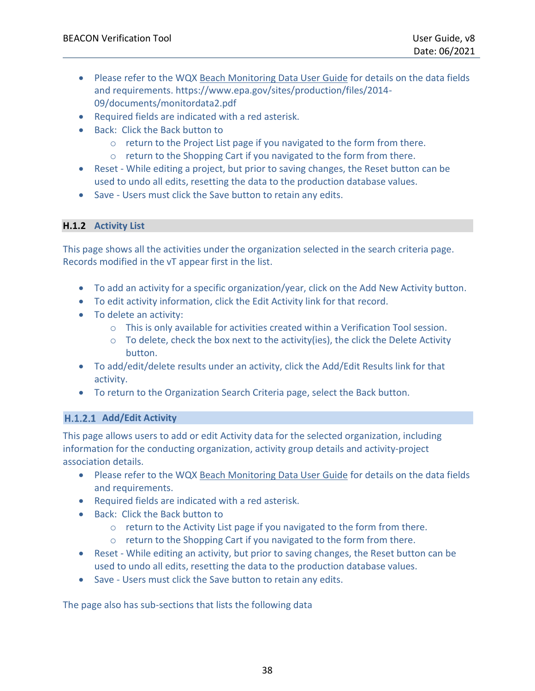- Please refer to the WQX [Beach Monitoring Data User Guide](https://www.epa.gov/sites/production/files/2014-09/documents/monitordata2.pdf) for details on the data fields and requirements. https://www.epa.gov/sites/production/files/2014- 09/documents/monitordata2.pdf
- Required fields are indicated with a red asterisk.
- Back: Click the Back button to
	- o return to the Project List page if you navigated to the form from there.
	- $\circ$  return to the Shopping Cart if you navigated to the form from there.
- Reset While editing a project, but prior to saving changes, the Reset button can be used to undo all edits, resetting the data to the production database values.
- Save Users must click the Save button to retain any edits.

### <span id="page-37-0"></span>**H.1.2 Activity List**

This page shows all the activities under the organization selected in the search criteria page. Records modified in the vT appear first in the list.

- To add an activity for a specific organization/year, click on the Add New Activity button.
- To edit activity information, click the Edit Activity link for that record.
- To delete an activity:
	- $\circ$  This is only available for activities created within a Verification Tool session.
	- $\circ$  To delete, check the box next to the activity(ies), the click the Delete Activity button.
- To add/edit/delete results under an activity, click the Add/Edit Results link for that activity.
- To return to the Organization Search Criteria page, select the Back button.

### H.1.2.1 Add/Edit Activity

This page allows users to add or edit Activity data for the selected organization, including information for the conducting organization, activity group details and activity-project association details.

- Please refer to the WQX [Beach Monitoring Data User Guide](https://www.epa.gov/sites/production/files/2014-09/documents/monitordata2.pdf) for details on the data fields and requirements.
- Required fields are indicated with a red asterisk.
- Back: Click the Back button to
	- o return to the Activity List page if you navigated to the form from there.
	- o return to the Shopping Cart if you navigated to the form from there.
- Reset While editing an activity, but prior to saving changes, the Reset button can be used to undo all edits, resetting the data to the production database values.
- Save Users must click the Save button to retain any edits.

The page also has sub-sections that lists the following data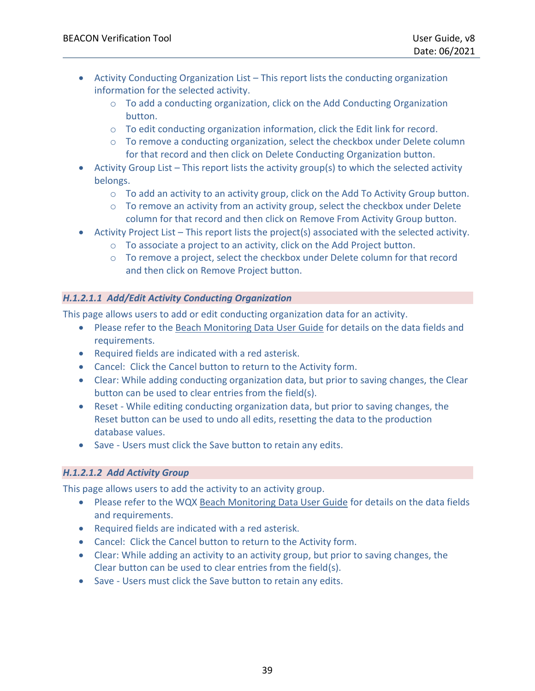- Activity Conducting Organization List This report lists the conducting organization information for the selected activity.
	- $\circ$  To add a conducting organization, click on the Add Conducting Organization button.
	- o To edit conducting organization information, click the Edit link for record.
	- $\circ$  To remove a conducting organization, select the checkbox under Delete column for that record and then click on Delete Conducting Organization button.
- Activity Group List This report lists the activity group(s) to which the selected activity belongs.
	- $\circ$  To add an activity to an activity group, click on the Add To Activity Group button.
	- o To remove an activity from an activity group, select the checkbox under Delete column for that record and then click on Remove From Activity Group button.
- Activity Project List This report lists the project(s) associated with the selected activity.
	- o To associate a project to an activity, click on the Add Project button.
	- o To remove a project, select the checkbox under Delete column for that record and then click on Remove Project button.

### *H.1.2.1.1 Add/Edit Activity Conducting Organization*

This page allows users to add or edit conducting organization data for an activity.

- Please refer to the [Beach Monitoring Data User Guide](https://www.epa.gov/sites/production/files/2014-09/documents/monitordata2.pdf) for details on the data fields and requirements.
- Required fields are indicated with a red asterisk.
- Cancel: Click the Cancel button to return to the Activity form.
- Clear: While adding conducting organization data, but prior to saving changes, the Clear button can be used to clear entries from the field(s).
- Reset While editing conducting organization data, but prior to saving changes, the Reset button can be used to undo all edits, resetting the data to the production database values.
- Save Users must click the Save button to retain any edits.

### *H.1.2.1.2 Add Activity Group*

This page allows users to add the activity to an activity group.

- Please refer to the WQX [Beach Monitoring Data User Guide](https://www.epa.gov/sites/production/files/2014-09/documents/monitordata2.pdf) for details on the data fields and requirements.
- Required fields are indicated with a red asterisk.
- Cancel: Click the Cancel button to return to the Activity form.
- Clear: While adding an activity to an activity group, but prior to saving changes, the Clear button can be used to clear entries from the field(s).
- Save Users must click the Save button to retain any edits.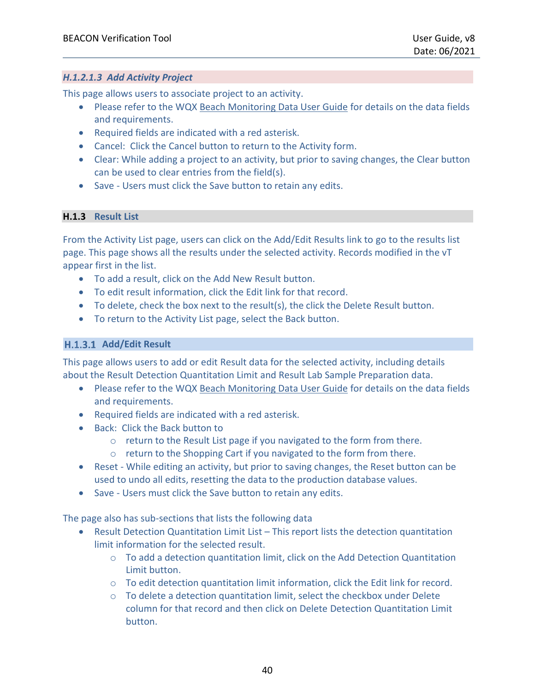#### *H.1.2.1.3 Add Activity Project*

This page allows users to associate project to an activity.

- Please refer to the WQX [Beach Monitoring Data User Guide](https://www.epa.gov/sites/production/files/2014-09/documents/monitordata2.pdf) for details on the data fields and requirements.
- Required fields are indicated with a red asterisk.
- Cancel: Click the Cancel button to return to the Activity form.
- Clear: While adding a project to an activity, but prior to saving changes, the Clear button can be used to clear entries from the field(s).
- Save Users must click the Save button to retain any edits.

### <span id="page-39-0"></span>**H.1.3 Result List**

From the Activity List page, users can click on the Add/Edit Results link to go to the results list page. This page shows all the results under the selected activity. Records modified in the vT appear first in the list.

- To add a result, click on the Add New Result button.
- To edit result information, click the Edit link for that record.
- To delete, check the box next to the result(s), the click the Delete Result button.
- To return to the Activity List page, select the Back button.

#### H.1.3.1 Add/Edit Result

This page allows users to add or edit Result data for the selected activity, including details about the Result Detection Quantitation Limit and Result Lab Sample Preparation data.

- Please refer to the WQX [Beach Monitoring Data User Guide](https://www.epa.gov/sites/production/files/2014-09/documents/monitordata2.pdf) for details on the data fields and requirements.
- Required fields are indicated with a red asterisk.
- Back: Click the Back button to
	- o return to the Result List page if you navigated to the form from there.
	- o return to the Shopping Cart if you navigated to the form from there.
- Reset While editing an activity, but prior to saving changes, the Reset button can be used to undo all edits, resetting the data to the production database values.
- Save Users must click the Save button to retain any edits.

The page also has sub-sections that lists the following data

- Result Detection Quantitation Limit List This report lists the detection quantitation limit information for the selected result.
	- $\circ$  To add a detection quantitation limit, click on the Add Detection Quantitation Limit button.
	- $\circ$  To edit detection quantitation limit information, click the Edit link for record.
	- $\circ$  To delete a detection quantitation limit, select the checkbox under Delete column for that record and then click on Delete Detection Quantitation Limit button.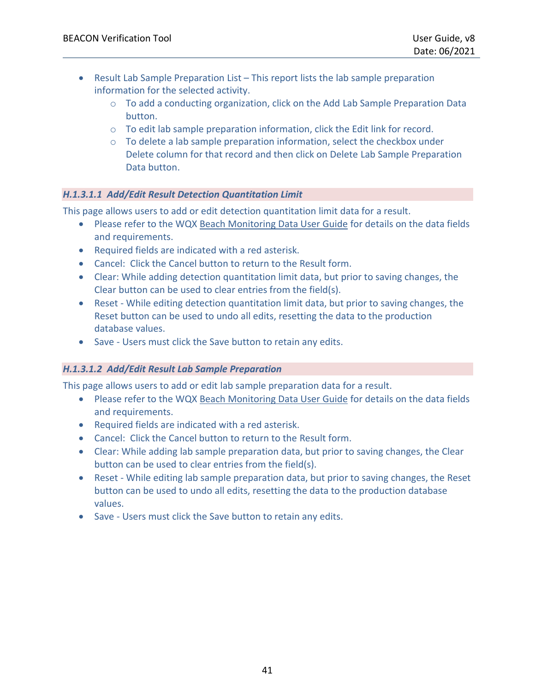- Result Lab Sample Preparation List This report lists the lab sample preparation information for the selected activity.
	- $\circ$  To add a conducting organization, click on the Add Lab Sample Preparation Data button.
	- o To edit lab sample preparation information, click the Edit link for record.
	- $\circ$  To delete a lab sample preparation information, select the checkbox under Delete column for that record and then click on Delete Lab Sample Preparation Data button.

### *H.1.3.1.1 Add/Edit Result Detection Quantitation Limit*

This page allows users to add or edit detection quantitation limit data for a result.

- Please refer to the WQX [Beach Monitoring Data User Guide](https://www.epa.gov/sites/production/files/2014-09/documents/monitordata2.pdf) for details on the data fields and requirements.
- Required fields are indicated with a red asterisk.
- Cancel: Click the Cancel button to return to the Result form.
- Clear: While adding detection quantitation limit data, but prior to saving changes, the Clear button can be used to clear entries from the field(s).
- Reset While editing detection quantitation limit data, but prior to saving changes, the Reset button can be used to undo all edits, resetting the data to the production database values.
- Save Users must click the Save button to retain any edits.

### *H.1.3.1.2 Add/Edit Result Lab Sample Preparation*

This page allows users to add or edit lab sample preparation data for a result.

- Please refer to the WQX [Beach Monitoring Data User Guide](https://www.epa.gov/sites/production/files/2014-09/documents/monitordata2.pdf) for details on the data fields and requirements.
- Required fields are indicated with a red asterisk.
- Cancel: Click the Cancel button to return to the Result form.
- Clear: While adding lab sample preparation data, but prior to saving changes, the Clear button can be used to clear entries from the field(s).
- Reset While editing lab sample preparation data, but prior to saving changes, the Reset button can be used to undo all edits, resetting the data to the production database values.
- Save Users must click the Save button to retain any edits.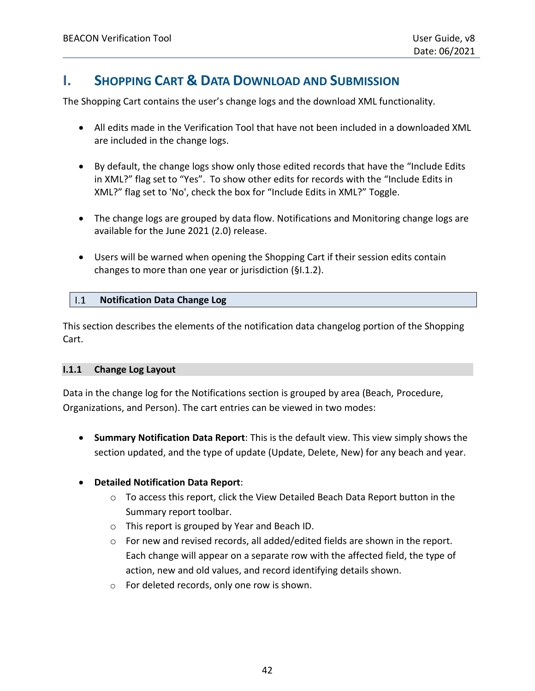# <span id="page-41-3"></span><span id="page-41-0"></span>**I. SHOPPING CART & DATA DOWNLOAD AND SUBMISSION**

The Shopping Cart contains the user's change logs and the download XML functionality.

- All edits made in the Verification Tool that have not been included in a downloaded XML are included in the change logs.
- By default, the change logs show only those edited records that have the "Include Edits in XML?" flag set to "Yes". To show other edits for records with the "Include Edits in XML?" flag set to 'No', check the box for "Include Edits in XML?" Toggle.
- The change logs are grouped by data flow. Notifications and Monitoring change logs are available for the June 2021 (2.0) release.
- Users will be warned when opening the Shopping Cart if their session edits contain changes to more than one year or jurisdiction (§I.1.2).

#### <span id="page-41-1"></span> $1.1$ **Notification Data Change Log**

This section describes the elements of the notification data changelog portion of the Shopping Cart.

#### <span id="page-41-2"></span>**I.1.1 Change Log Layout**

Data in the change log for the Notifications section is grouped by area (Beach, Procedure, Organizations, and Person). The cart entries can be viewed in two modes:

• **Summary Notification Data Report**: This is the default view. This view simply shows the section updated, and the type of update (Update, Delete, New) for any beach and year.

### • **Detailed Notification Data Report**:

- o To access this report, click the View Detailed Beach Data Report button in the Summary report toolbar.
- o This report is grouped by Year and Beach ID.
- $\circ$  For new and revised records, all added/edited fields are shown in the report. Each change will appear on a separate row with the affected field, the type of action, new and old values, and record identifying details shown.
- o For deleted records, only one row is shown.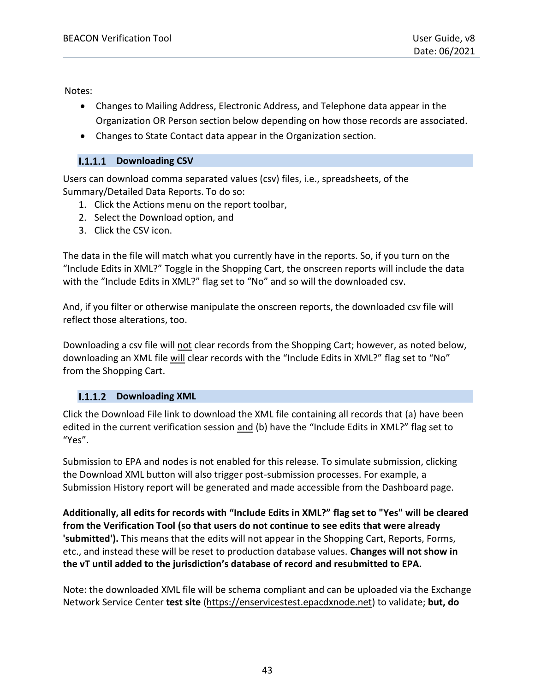Notes:

- Changes to Mailing Address, Electronic Address, and Telephone data appear in the Organization OR Person section below depending on how those records are associated.
- Changes to State Contact data appear in the Organization section.

### **I.1.1.1 Downloading CSV**

Users can download comma separated values (csv) files, i.e., spreadsheets, of the Summary/Detailed Data Reports. To do so:

- 1. Click the Actions menu on the report toolbar,
- 2. Select the Download option, and
- 3. Click the CSV icon.

The data in the file will match what you currently have in the reports. So, if you turn on the "Include Edits in XML?" Toggle in the Shopping Cart, the onscreen reports will include the data with the "Include Edits in XML?" flag set to "No" and so will the downloaded csv.

And, if you filter or otherwise manipulate the onscreen reports, the downloaded csv file will reflect those alterations, too.

Downloading a csv file will not clear records from the Shopping Cart; however, as noted below, downloading an XML file will clear records with the "Include Edits in XML?" flag set to "No" from the Shopping Cart.

### **I.1.1.2** Downloading XML

Click the Download File link to download the XML file containing all records that (a) have been edited in the current verification session and (b) have the "Include Edits in XML?" flag set to "Yes".

Submission to EPA and nodes is not enabled for this release. To simulate submission, clicking the Download XML button will also trigger post-submission processes. For example, a Submission History report will be generated and made accessible from the Dashboard page.

**Additionally, all edits for records with "Include Edits in XML?" flag set to "Yes" will be cleared from the Verification Tool (so that users do not continue to see edits that were already 'submitted').** This means that the edits will not appear in the Shopping Cart, Reports, Forms, etc., and instead these will be reset to production database values. **Changes will not show in the vT until added to the jurisdiction's database of record and resubmitted to EPA.**

Note: the downloaded XML file will be schema compliant and can be uploaded via the Exchange Network Service Center **test site** [\(https://enservicestest.epacdxnode.net\)](https://enservicestest.epacdxnode.net/) to validate; **but, do**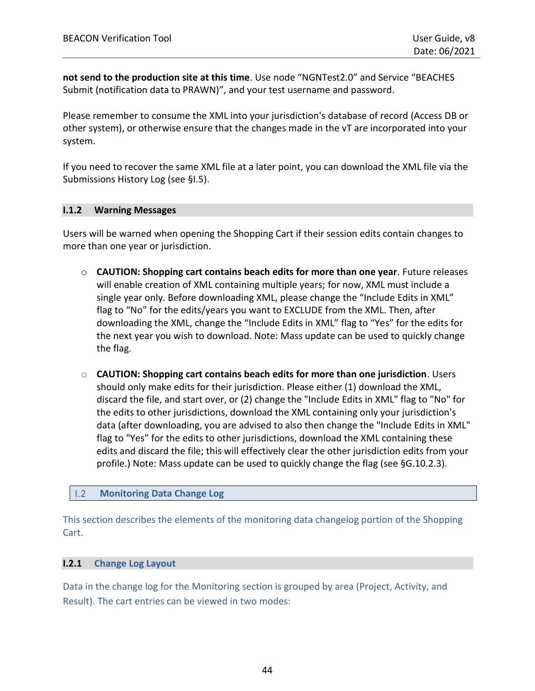**not send to the production site at this time**. Use node "NGNTest2.0" and Service "BEACHES Submit (notification data to PRAWN)", and your test username and password.

Please remember to consume the XML into your jurisdiction's database of record (Access DB or other system), or otherwise ensure that the changes made in the vT are incorporated into your system.

If you need to recover the same XML file at a later point, you can download the XML file via the Submissions History Log (see [§I.5\)](#page-46-0).

#### <span id="page-43-0"></span>**I.1.2 Warning Messages**

Users will be warned when opening the Shopping Cart if their session edits contain changes to more than one year or jurisdiction.

- o **CAUTION: Shopping cart contains beach edits for more than one year**. Future releases will enable creation of XML containing multiple years; for now, XML must include a single year only. Before downloading XML, please change the "Include Edits in XML" flag to "No" for the edits/years you want to EXCLUDE from the XML. Then, after downloading the XML, change the "Include Edits in XML" flag to "Yes" for the edits for the next year you wish to download. Note: Mass update can be used to quickly change the flag.
- o **CAUTION: Shopping cart contains beach edits for more than one jurisdiction**. Users should only make edits for their jurisdiction. Please either (1) download the XML, discard the file, and start over, or (2) change the "Include Edits in XML" flag to "No" for the edits to other jurisdictions, download the XML containing only your jurisdiction's data (after downloading, you are advised to also then change the "Include Edits in XML" flag to "Yes" for the edits to other jurisdictions, download the XML containing these edits and discard the file; this will effectively clear the other jurisdiction edits from your profile.) Note: Mass update can be used to quickly change the flag (see [§G.10.2.3\)](#page-33-0).

#### <span id="page-43-1"></span> $1.2$ **Monitoring Data Change Log**

This section describes the elements of the monitoring data changelog portion of the Shopping Cart.

#### <span id="page-43-2"></span>**I.2.1 Change Log Layout**

Data in the change log for the Monitoring section is grouped by area (Project, Activity, and Result). The cart entries can be viewed in two modes: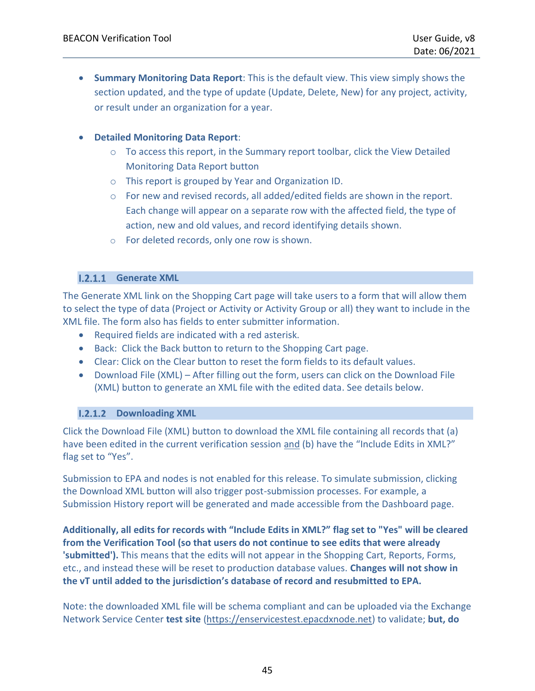• **Summary Monitoring Data Report**: This is the default view. This view simply shows the section updated, and the type of update (Update, Delete, New) for any project, activity, or result under an organization for a year.

#### • **Detailed Monitoring Data Report**:

- $\circ$  To access this report, in the Summary report toolbar, click the View Detailed Monitoring Data Report button
- o This report is grouped by Year and Organization ID.
- o For new and revised records, all added/edited fields are shown in the report. Each change will appear on a separate row with the affected field, the type of action, new and old values, and record identifying details shown.
- o For deleted records, only one row is shown.

#### **I.2.1.1 Generate XML**

The Generate XML link on the Shopping Cart page will take users to a form that will allow them to select the type of data (Project or Activity or Activity Group or all) they want to include in the XML file. The form also has fields to enter submitter information.

- Required fields are indicated with a red asterisk.
- Back: Click the Back button to return to the Shopping Cart page.
- Clear: Click on the Clear button to reset the form fields to its default values.
- Download File (XML) After filling out the form, users can click on the Download File (XML) button to generate an XML file with the edited data. See details below.

### **I.2.1.2 Downloading XML**

Click the Download File (XML) button to download the XML file containing all records that (a) have been edited in the current verification session and (b) have the "Include Edits in XML?" flag set to "Yes".

Submission to EPA and nodes is not enabled for this release. To simulate submission, clicking the Download XML button will also trigger post-submission processes. For example, a Submission History report will be generated and made accessible from the Dashboard page.

**Additionally, all edits for records with "Include Edits in XML?" flag set to "Yes" will be cleared from the Verification Tool (so that users do not continue to see edits that were already 'submitted').** This means that the edits will not appear in the Shopping Cart, Reports, Forms, etc., and instead these will be reset to production database values. **Changes will not show in the vT until added to the jurisdiction's database of record and resubmitted to EPA.**

Note: the downloaded XML file will be schema compliant and can be uploaded via the Exchange Network Service Center **test site** [\(https://enservicestest.epacdxnode.net\)](https://enservicestest.epacdxnode.net/) to validate; **but, do**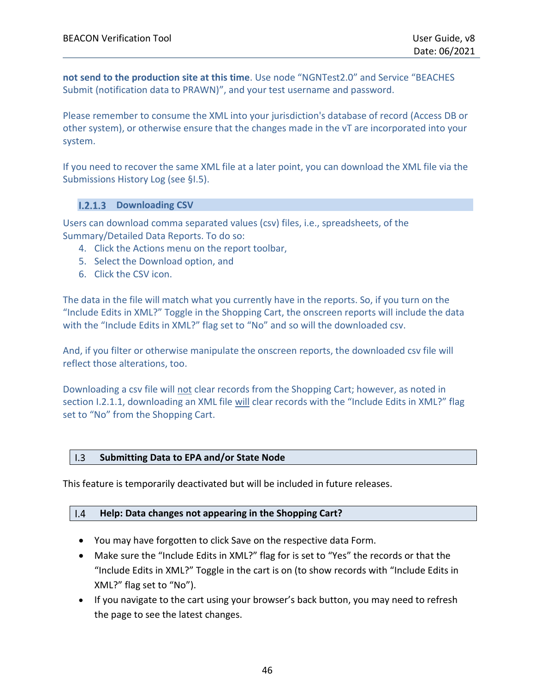**not send to the production site at this time**. Use node "NGNTest2.0" and Service "BEACHES Submit (notification data to PRAWN)", and your test username and password.

Please remember to consume the XML into your jurisdiction's database of record (Access DB or other system), or otherwise ensure that the changes made in the vT are incorporated into your system.

If you need to recover the same XML file at a later point, you can download the XML file via the Submissions History Log (see [§I.5\)](#page-46-0).

#### **I.2.1.3** Downloading CSV

Users can download comma separated values (csv) files, i.e., spreadsheets, of the Summary/Detailed Data Reports. To do so:

- 4. Click the Actions menu on the report toolbar,
- 5. Select the Download option, and
- 6. Click the CSV icon.

The data in the file will match what you currently have in the reports. So, if you turn on the "Include Edits in XML?" Toggle in the Shopping Cart, the onscreen reports will include the data with the "Include Edits in XML?" flag set to "No" and so will the downloaded csv.

And, if you filter or otherwise manipulate the onscreen reports, the downloaded csy file will reflect those alterations, too.

Downloading a csv file will not clear records from the Shopping Cart; however, as noted in section I.2.1.1, downloading an XML file will clear records with the "Include Edits in XML?" flag set to "No" from the Shopping Cart.

#### <span id="page-45-0"></span>**Submitting Data to EPA and/or State Node**  $\overline{1.3}$

<span id="page-45-1"></span>This feature is temporarily deactivated but will be included in future releases.

#### **Help: Data changes not appearing in the Shopping Cart?**   $1.4$

- You may have forgotten to click Save on the respective data Form.
- Make sure the "Include Edits in XML?" flag for is set to "Yes" the records or that the "Include Edits in XML?" Toggle in the cart is on (to show records with "Include Edits in XML?" flag set to "No").
- If you navigate to the cart using your browser's back button, you may need to refresh the page to see the latest changes.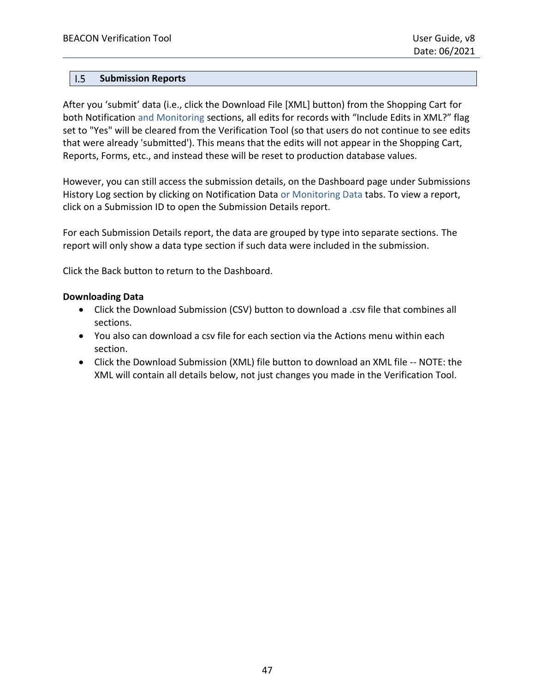#### <span id="page-46-0"></span> $1.5$ **Submission Reports**

After you 'submit' data (i.e., click the Download File [XML] button) from the Shopping Cart for both Notification and Monitoring sections, all edits for records with "Include Edits in XML?" flag set to "Yes" will be cleared from the Verification Tool (so that users do not continue to see edits that were already 'submitted'). This means that the edits will not appear in the Shopping Cart, Reports, Forms, etc., and instead these will be reset to production database values.

However, you can still access the submission details, on the Dashboard page under Submissions History Log section by clicking on Notification Data or Monitoring Data tabs. To view a report, click on a Submission ID to open the Submission Details report.

For each Submission Details report, the data are grouped by type into separate sections. The report will only show a data type section if such data were included in the submission.

Click the Back button to return to the Dashboard.

#### **Downloading Data**

- Click the Download Submission (CSV) button to download a .csv file that combines all sections.
- You also can download a csv file for each section via the Actions menu within each section.
- Click the Download Submission (XML) file button to download an XML file -- NOTE: the XML will contain all details below, not just changes you made in the Verification Tool.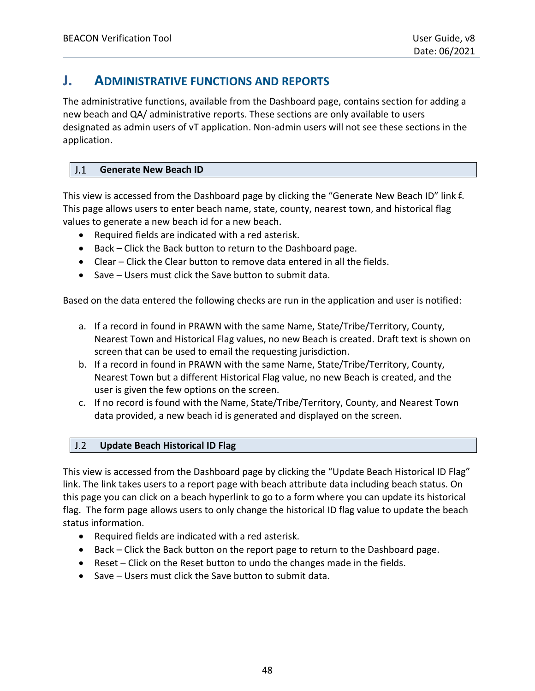### <span id="page-47-0"></span>**J. ADMINISTRATIVE FUNCTIONS AND REPORTS**

The administrative functions, available from the Dashboard page, contains section for adding a new beach and QA/ administrative reports. These sections are only available to users designated as admin users of vT application. Non-admin users will not see these sections in the application.

#### <span id="page-47-1"></span> $J.1$ **Generate New Beach ID**

This view is accessed from the Dashboard page by clicking the "Generate New Beach ID" link f. This page allows users to enter beach name, state, county, nearest town, and historical flag values to generate a new beach id for a new beach.

- Required fields are indicated with a red asterisk.
- Back Click the Back button to return to the Dashboard page.
- Clear Click the Clear button to remove data entered in all the fields.
- Save Users must click the Save button to submit data.

Based on the data entered the following checks are run in the application and user is notified:

- a. If a record in found in PRAWN with the same Name, State/Tribe/Territory, County, Nearest Town and Historical Flag values, no new Beach is created. Draft text is shown on screen that can be used to email the requesting jurisdiction.
- b. If a record in found in PRAWN with the same Name, State/Tribe/Territory, County, Nearest Town but a different Historical Flag value, no new Beach is created, and the user is given the few options on the screen.
- c. If no record is found with the Name, State/Tribe/Territory, County, and Nearest Town data provided, a new beach id is generated and displayed on the screen.

#### <span id="page-47-2"></span> $J.2$ **Update Beach Historical ID Flag**

This view is accessed from the Dashboard page by clicking the "Update Beach Historical ID Flag" link. The link takes users to a report page with beach attribute data including beach status. On this page you can click on a beach hyperlink to go to a form where you can update its historical flag. The form page allows users to only change the historical ID flag value to update the beach status information.

- Required fields are indicated with a red asterisk.
- Back Click the Back button on the report page to return to the Dashboard page.
- Reset Click on the Reset button to undo the changes made in the fields.
- Save Users must click the Save button to submit data.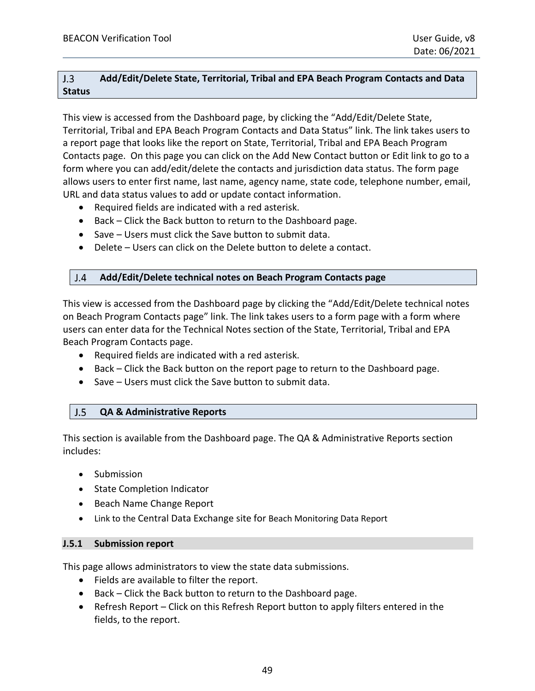#### <span id="page-48-0"></span> $J.3$ **Add/Edit/Delete State, Territorial, Tribal and EPA Beach Program Contacts and Data Status**

This view is accessed from the Dashboard page, by clicking the "Add/Edit/Delete State, Territorial, Tribal and EPA Beach Program Contacts and Data Status" link. The link takes users to a report page that looks like the report on State, Territorial, Tribal and EPA Beach Program Contacts page. On this page you can click on the Add New Contact button or Edit link to go to a form where you can add/edit/delete the contacts and jurisdiction data status. The form page allows users to enter first name, last name, agency name, state code, telephone number, email, URL and data status values to add or update contact information.

- Required fields are indicated with a red asterisk.
- Back Click the Back button to return to the Dashboard page.
- Save Users must click the Save button to submit data.
- <span id="page-48-1"></span>• Delete – Users can click on the Delete button to delete a contact.

#### $J.4$ **Add/Edit/Delete technical notes on Beach Program Contacts page**

This view is accessed from the Dashboard page by clicking the "Add/Edit/Delete technical notes on Beach Program Contacts page" link. The link takes users to a form page with a form where users can enter data for the Technical Notes section of the State, Territorial, Tribal and EPA Beach Program Contacts page.

- Required fields are indicated with a red asterisk.
- Back Click the Back button on the report page to return to the Dashboard page.
- <span id="page-48-2"></span>• Save – Users must click the Save button to submit data.

#### $J.5$ **QA & Administrative Reports**

This section is available from the Dashboard page. The QA & Administrative Reports section includes:

- Submission
- State Completion Indicator
- Beach Name Change Report
- Link to the Central Data Exchange site for Beach Monitoring Data Report

#### <span id="page-48-3"></span>**J.5.1 Submission report**

This page allows administrators to view the state data submissions.

- Fields are available to filter the report.
- Back Click the Back button to return to the Dashboard page.
- Refresh Report Click on this Refresh Report button to apply filters entered in the fields, to the report.